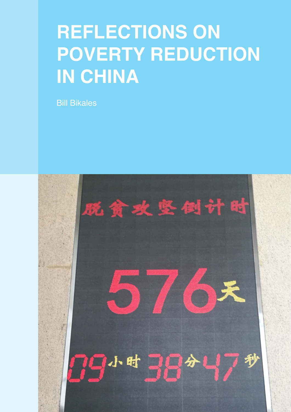# **REFLECTIONS ON POVERTY REDUCTION IN CHINA**

Bill Bikales

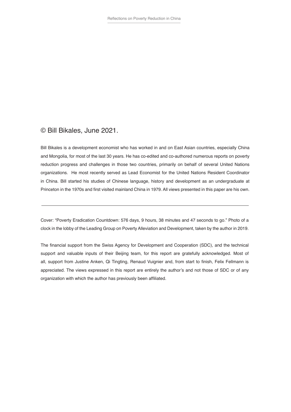#### © Bill Bikales, June 2021.

Bill Bikales is a development economist who has worked in and on East Asian countries, especially China and Mongolia, for most of the last 30 years. He has co-edited and co-authored numerous reports on poverty reduction progress and challenges in those two countries, primarily on behalf of several United Nations organizations. He most recently served as Lead Economist for the United Nations Resident Coordinator in China. Bill started his studies of Chinese language, history and development as an undergraduate at Princeton in the 1970s and first visited mainland China in 1979. All views presented in this paper are his own.

Cover: "Poverty Eradication Countdown: 576 days, 9 hours, 38 minutes and 47 seconds to go." Photo of a clock in the lobby of the Leading Group on Poverty Alleviation and Development, taken by the author in 2019.

The financial support from the Swiss Agency for Development and Cooperation (SDC), and the technical support and valuable inputs of their Beijing team, for this report are gratefully acknowledged. Most of all, support from Justine Anken, Qi Tingting, Renaud Vuignier and, from start to finish, Felix Fellmann is appreciated. The views expressed in this report are entirely the author's and not those of SDC or of any organization with which the author has previously been affiliated.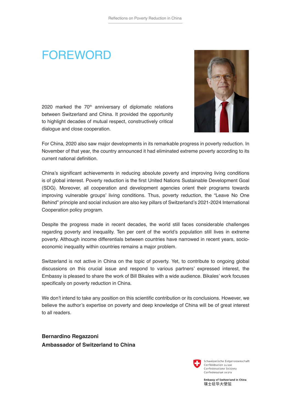### **FOREWORD**

2020 marked the  $70<sup>th</sup>$  anniversary of diplomatic relations between Switzerland and China. It provided the opportunity to highlight decades of mutual respect, constructively critical dialogue and close cooperation.



For China, 2020 also saw major developments in its remarkable progress in poverty reduction. In November of that year, the country announced it had eliminated extreme poverty according to its current national definition.

China's significant achievements in reducing absolute poverty and improving living conditions is of global interest. Poverty reduction is the first United Nations Sustainable Development Goal (SDG). Moreover, all cooperation and development agencies orient their programs towards improving vulnerable groups' living conditions. Thus, poverty reduction, the "Leave No One Behind" principle and social inclusion are also key pillars of Switzerland's 2021-2024 International Cooperation policy program.

Despite the progress made in recent decades, the world still faces considerable challenges regarding poverty and inequality. Ten per cent of the world's population still lives in extreme poverty. Although income differentials between countries have narrowed in recent years, socioeconomic inequality within countries remains a major problem.

Switzerland is not active in China on the topic of poverty. Yet, to contribute to ongoing global discussions on this crucial issue and respond to various partners' expressed interest, the Embassy is pleased to share the work of Bill Bikales with a wide audience. Bikales' work focuses specifically on poverty reduction in China.

We don't intend to take any position on this scientific contribution or its conclusions. However, we believe the author's expertise on poverty and deep knowledge of China will be of great interest to all readers.

**Bernardino Regazzoni Ambassador of Switzerland to China**



Schweizerische Eidgenossenschaft Confédération suisse Confederazione Svizzera Confederaziun svizra

Embassy of Switzerland in China 瑞士驻华大使馆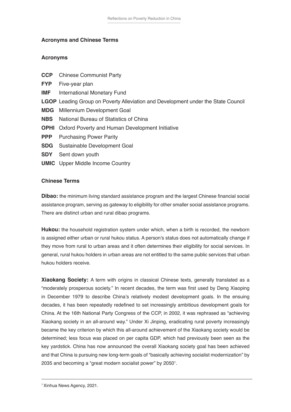#### **Acronyms and Chinese Terms**

#### **Acronyms**

| <b>CCP</b> | <b>Chinese Communist Party</b>                                                           |
|------------|------------------------------------------------------------------------------------------|
| <b>FYP</b> | Five-year plan                                                                           |
| IMF        | <b>International Monetary Fund</b>                                                       |
|            | <b>LGOP</b> Leading Group on Poverty Alleviation and Development under the State Council |
|            | <b>MDG</b> Millennium Development Goal                                                   |
| <b>NBS</b> | National Bureau of Statistics of China                                                   |
|            | <b>OPHI</b> Oxford Poverty and Human Development Initiative                              |
| <b>PPP</b> | <b>Purchasing Power Parity</b>                                                           |
| <b>SDG</b> | Sustainable Development Goal                                                             |
| <b>SDY</b> | Sent down youth                                                                          |
|            | <b>UMIC</b> Upper Middle Income Country                                                  |
|            |                                                                                          |
|            |                                                                                          |

#### **Chinese Terms**

**Dibao:** the minimum living standard assistance program and the largest Chinese financial social assistance program, serving as gateway to eligibility for other smaller social assistance programs. There are distinct urban and rural dibao programs.

**Hukou:** the household registration system under which, when a birth is recorded, the newborn is assigned either urban or rural hukou status. A person's status does not automatically change if they move from rural to urban areas and it often determines their eligibility for social services. In general, rural hukou holders in urban areas are not entitled to the same public services that urban hukou holders receive.

**Xiaokang Society:** A term with origins in classical Chinese texts, generally translated as a "moderately prosperous society." In recent decades, the term was first used by Deng Xiaoping in December 1979 to describe China's relatively modest development goals. In the ensuing decades, it has been repeatedly redefined to set increasingly ambitious development goals for China. At the 16th National Party Congress of the CCP, in 2002, it was rephrased as "achieving Xiaokang society in an all-around way." Under Xi Jinping, eradicating rural poverty increasingly became the key criterion by which this all-around achievement of the Xiaokang society would be determined; less focus was placed on per capita GDP, which had previously been seen as the key yardstick. China has now announced the overall Xiaokang society goal has been achieved and that China is pursuing new long-term goals of "basically achieving socialist modernization" by 2035 and becoming a "great modern socialist power" by 2050<sup>1</sup>.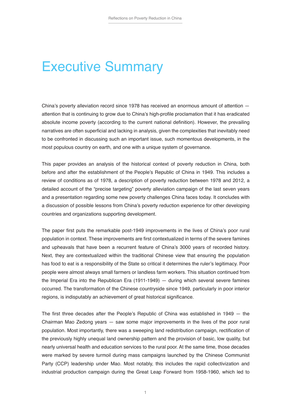### Executive Summary

China's poverty alleviation record since 1978 has received an enormous amount of attention attention that is continuing to grow due to China's high-profile proclamation that it has eradicated absolute income poverty (according to the current national definition). However, the prevailing narratives are often superficial and lacking in analysis, given the complexities that inevitably need to be confronted in discussing such an important issue, such momentous developments, in the most populous country on earth, and one with a unique system of governance.

This paper provides an analysis of the historical context of poverty reduction in China, both before and after the establishment of the People's Republic of China in 1949. This includes a review of conditions as of 1978, a description of poverty reduction between 1978 and 2012, a detailed account of the "precise targeting" poverty alleviation campaign of the last seven years and a presentation regarding some new poverty challenges China faces today. It concludes with a discussion of possible lessons from China's poverty reduction experience for other developing countries and organizations supporting development.

The paper first puts the remarkable post-1949 improvements in the lives of China's poor rural population in context. These improvements are first contextualized in terms of the severe famines and upheavals that have been a recurrent feature of China's 3000 years of recorded history. Next, they are contextualized within the traditional Chinese view that ensuring the population has food to eat is a responsibility of the State so critical it determines the ruler's legitimacy. Poor people were almost always small farmers or landless farm workers. This situation continued from the Imperial Era into the Republican Era (1911-1949) — during which several severe famines occurred. The transformation of the Chinese countryside since 1949, particularly in poor interior regions, is indisputably an achievement of great historical significance.

The first three decades after the People's Republic of China was established in 1949 — the Chairman Mao Zedong years — saw some major improvements in the lives of the poor rural population. Most importantly, there was a sweeping land redistribution campaign, rectification of the previously highly unequal land ownership pattern and the provision of basic, low quality, but nearly universal health and education services to the rural poor. At the same time, those decades were marked by severe turmoil during mass campaigns launched by the Chinese Communist Party (CCP) leadership under Mao. Most notably, this includes the rapid collectivization and industrial production campaign during the Great Leap Forward from 1958-1960, which led to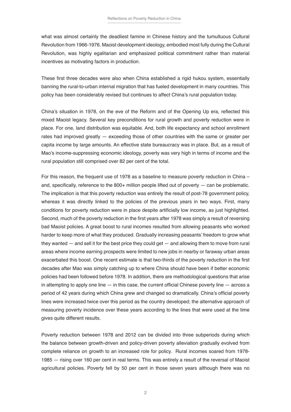what was almost certainly the deadliest famine in Chinese history and the tumultuous Cultural Revolution from 1966-1976. Maoist development ideology, embodied most fully during the Cultural Revolution, was highly egalitarian and emphasized political commitment rather than material incentives as motivating factors in production.

These first three decades were also when China established a rigid hukou system, essentially banning the rural-to-urban internal migration that has fueled development in many countries. This policy has been considerably revised but continues to affect China's rural population today.

China's situation in 1978, on the eve of the Reform and of the Opening Up era, reflected this mixed Maoist legacy. Several key preconditions for rural growth and poverty reduction were in place. For one, land distribution was equitable. And, both life expectancy and school enrollment rates had improved greatly — exceeding those of other countries with the same or greater per capita income by large amounts. An effective state bureaucracy was in place. But, as a result of Mao's income-suppressing economic ideology, poverty was very high in terms of income and the rural population still comprised over 82 per cent of the total.

For this reason, the frequent use of 1978 as a baseline to measure poverty reduction in China – and, specifically, reference to the  $800+$  million people lifted out of poverty  $-$  can be problematic. The implication is that this poverty reduction was entirely the result of post-78 government policy, whereas it was directly linked to the policies of the previous years in two ways. First, many conditions for poverty reduction were in place despite artificially low income, as just highlighted. Second, much of the poverty reduction in the first years after 1978 was simply a result of reversing bad Maoist policies. A great boost to rural incomes resulted from allowing peasants who worked harder to keep more of what they produced. Gradually increasing peasants' freedom to grow what they wanted — and sell it for the best price they could get — and allowing them to move from rural areas where income earning prospects were limited to new jobs in nearby or faraway urban areas exacerbated this boost. One recent estimate is that two-thirds of the poverty reduction in the first decades after Mao was simply catching up to where China should have been if better economic policies had been followed before 1978. In addition, there are methodological questions that arise in attempting to apply one line  $-$  in this case, the current official Chinese poverty line  $-$  across a period of 42 years during which China grew and changed so dramatically. China's official poverty lines were increased twice over this period as the country developed; the alternative approach of measuring poverty incidence over these years according to the lines that were used at the time gives quite different results.

Poverty reduction between 1978 and 2012 can be divided into three subperiods during which the balance between growth-driven and policy-driven poverty alleviation gradually evolved from complete reliance on growth to an increased role for policy. Rural incomes soared from 1978- 1985 — rising over 160 per cent in real terms. This was entirely a result of the reversal of Maoist agricultural policies. Poverty fell by 50 per cent in those seven years although there was no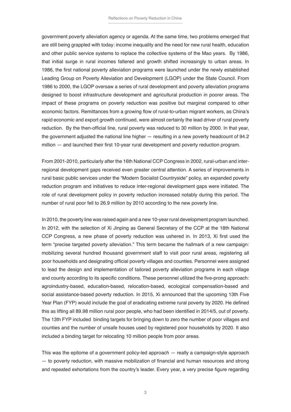government poverty alleviation agency or agenda. At the same time, two problems emerged that are still being grappled with today: income inequality and the need for new rural health, education and other public service systems to replace the collective systems of the Mao years. By 1986, that initial surge in rural incomes faltered and growth shifted increasingly to urban areas. In 1986, the first national poverty alleviation programs were launched under the newly established Leading Group on Poverty Alleviation and Development (LGOP) under the State Council. From 1986 to 2000, the LGOP oversaw a series of rural development and poverty alleviation programs designed to boost infrastructure development and agricultural production in poorer areas. The impact of these programs on poverty reduction was positive but marginal compared to other economic factors. Remittances from a growing flow of rural-to-urban migrant workers, as China's rapid economic and export growth continued, were almost certainly the lead driver of rural poverty reduction. By the then-official line, rural poverty was reduced to 30 million by 2000. In that year, the government adjusted the national line higher — resulting in a new poverty headcount of 94.2 million — and launched their first 10-year rural development and poverty reduction program.

From 2001-2010, particularly after the 16th National CCP Congress in 2002, rural-urban and interregional development gaps received even greater central attention. A series of improvements in rural basic public services under the "Modern Socialist Countryside" policy, an expanded poverty reduction program and initiatives to reduce inter-regional development gaps were initiated. The role of rural development policy in poverty reduction increased notably during this period. The number of rural poor fell to 26.9 million by 2010 according to the new poverty line.

In 2010, the poverty line was raised again and a new 10-year rural development program launched. In 2012, with the selection of Xi Jinping as General Secretary of the CCP at the 18th National CCP Congress, a new phase of poverty reduction was ushered in. In 2013, Xi first used the term "precise targeted poverty alleviation." This term became the hallmark of a new campaign: mobilizing several hundred thousand government staff to visit poor rural areas, registering all poor households and designating official poverty villages and counties. Personnel were assigned to lead the design and implementation of tailored poverty alleviation programs in each village and county according to its specific conditions. These personnel utilized the five-prong approach: agroindustry-based, education-based, relocation-based, ecological compensation-based and social assistance-based poverty reduction. In 2015, Xi announced that the upcoming 13th Five Year Plan (FYP) would include the goal of eradicating extreme rural poverty by 2020. He defined this as lifting all 89.98 million rural poor people, who had been identified in 2014/5, out of poverty. The 13th FYP included binding targets for bringing down to zero the number of poor villages and counties and the number of unsafe houses used by registered poor households by 2020. It also included a binding target for relocating 10 million people from poor areas.

This was the epitome of a government policy-led approach — really a campaign-style approach — to poverty reduction, with massive mobilization of financial and human resources and strong and repeated exhortations from the country's leader. Every year, a very precise figure regarding

3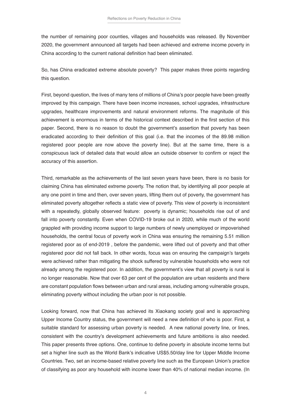the number of remaining poor counties, villages and households was released. By November 2020, the government announced all targets had been achieved and extreme income poverty in China according to the current national definition had been eliminated.

So, has China eradicated extreme absolute poverty? This paper makes three points regarding this question.

First, beyond question, the lives of many tens of millions of China's poor people have been greatly improved by this campaign. There have been income increases, school upgrades, infrastructure upgrades, healthcare improvements and natural environment reforms. The magnitude of this achievement is enormous in terms of the historical context described in the first section of this paper. Second, there is no reason to doubt the government's assertion that poverty has been eradicated according to their definition of this goal (i.e. that the incomes of the 89.98 million registered poor people are now above the poverty line). But at the same time, there is a conspicuous lack of detailed data that would allow an outside observer to confirm or reject the accuracy of this assertion.

Third, remarkable as the achievements of the last seven years have been, there is no basis for claiming China has eliminated extreme poverty. The notion that, by identifying all poor people at any one point in time and then, over seven years, lifting them out of poverty, the government has eliminated poverty altogether reflects a static view of poverty. This view of poverty is inconsistent with a repeatedly, globally observed feature: poverty is dynamic; households rise out of and fall into poverty constantly. Even when COVID-19 broke out in 2020, while much of the world grappled with providing income support to large numbers of newly unemployed or impoverished households, the central focus of poverty work in China was ensuring the remaining 5.51 million registered poor as of end-2019 , before the pandemic, were lifted out of poverty and that other registered poor did not fall back. In other words, focus was on ensuring the campaign's targets were achieved rather than mitigating the shock suffered by vulnerable households who were not already among the registered poor. In addition, the government's view that all poverty is rural is no longer reasonable. Now that over 63 per cent of the population are urban residents and there are constant population flows between urban and rural areas, including among vulnerable groups, eliminating poverty without including the urban poor is not possible.

Looking forward, now that China has achieved its Xiaokang society goal and is approaching Upper Income Country status, the government will need a new definition of who is poor. First, a suitable standard for assessing urban poverty is needed. A new national poverty line, or lines, consistent with the country's development achievements and future ambitions is also needed. This paper presents three options. One, continue to define poverty in absolute income terms but set a higher line such as the World Bank's indicative US\$5.50/day line for Upper Middle Income Countries. Two, set an income-based relative poverty line such as the European Union's practice of classifying as poor any household with income lower than 40% of national median income. (In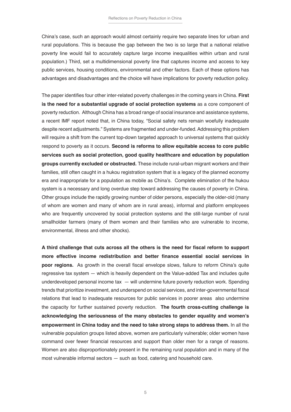China's case, such an approach would almost certainly require two separate lines for urban and rural populations. This is because the gap between the two is so large that a national relative poverty line would fail to accurately capture large income inequalities within urban and rural population.) Third, set a multidimensional poverty line that captures income and access to key public services, housing conditions, environmental and other factors. Each of these options has advantages and disadvantages and the choice will have implications for poverty reduction policy.

The paper identifies four other inter-related poverty challenges in the coming years in China. **First is the need for a substantial upgrade of social protection systems** as a core component of poverty reduction. Although China has a broad range of social insurance and assistance systems, a recent IMF report noted that, in China today, "Social safety nets remain woefully inadequate despite recent adjustments." Systems are fragmented and under-funded. Addressing this problem will require a shift from the current top-down targeted approach to universal systems that quickly respond to poverty as it occurs. **Second is reforms to allow equitable access to core public services such as social protection, good quality healthcare and education by population groups currently excluded or obstructed.** These include rural-urban migrant workers and their families, still often caught in a hukou registration system that is a legacy of the planned economy era and inappropriate for a population as mobile as China's. Complete elimination of the hukou system is a necessary and long overdue step toward addressing the causes of poverty in China. Other groups include the rapidly growing number of older persons, especially the older-old (many of whom are women and many of whom are in rural areas), informal and platform employees who are frequently uncovered by social protection systems and the still-large number of rural smallholder farmers (many of them women and their families who are vulnerable to income, environmental, illness and other shocks).

**A third challenge that cuts across all the others is the need for fiscal reform to support more effective income redistribution and better finance essential social services in poor regions.** As growth in the overall fiscal envelope slows, failure to reform China's quite regressive tax system — which is heavily dependent on the Value-added Tax and includes quite underdeveloped personal income tax — will undermine future poverty reduction work. Spending trends that prioritize investment, and underspend on social services, and inter-governmental fiscal relations that lead to inadequate resources for public services in poorer areas also undermine the capacity for further sustained poverty reduction. **The fourth cross-cutting challenge is acknowledging the seriousness of the many obstacles to gender equality and women's empowerment in China today and the need to take strong steps to address them.** In all the vulnerable population groups listed above, women are particularly vulnerable; older women have command over fewer financial resources and support than older men for a range of reasons. Women are also disproportionately present in the remaining rural population and in many of the most vulnerable informal sectors — such as food, catering and household care.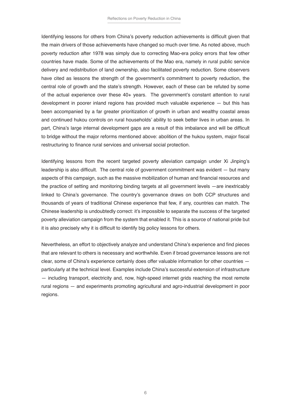Identifying lessons for others from China's poverty reduction achievements is difficult given that the main drivers of those achievements have changed so much over time. As noted above, much poverty reduction after 1978 was simply due to correcting Mao-era policy errors that few other countries have made. Some of the achievements of the Mao era, namely in rural public service delivery and redistribution of land ownership, also facilitated poverty reduction. Some observers have cited as lessons the strength of the government's commitment to poverty reduction, the central role of growth and the state's strength. However, each of these can be refuted by some of the actual experience over these 40+ years. The government's constant attention to rural development in poorer inland regions has provided much valuable experience — but this has been accompanied by a far greater prioritization of growth in urban and wealthy coastal areas and continued hukou controls on rural households' ability to seek better lives in urban areas. In part, China's large internal development gaps are a result of this imbalance and will be difficult to bridge without the major reforms mentioned above: abolition of the hukou system, major fiscal restructuring to finance rural services and universal social protection.

Identifying lessons from the recent targeted poverty alleviation campaign under Xi Jinping's leadership is also difficult. The central role of government commitment was evident — but many aspects of this campaign, such as the massive mobilization of human and financial resources and the practice of setting and monitoring binding targets at all government levels —are inextricably linked to China's governance. The country's governance draws on both CCP structures and thousands of years of traditional Chinese experience that few, if any, countries can match. The Chinese leadership is undoubtedly correct: it's impossible to separate the success of the targeted poverty alleviation campaign from the system that enabled it. This is a source of national pride but it is also precisely why it is difficult to identify big policy lessons for others.

Nevertheless, an effort to objectively analyze and understand China's experience and find pieces that are relevant to others is necessary and worthwhile. Even if broad governance lessons are not clear, some of China's experience certainly does offer valuable information for other countries particularly at the technical level. Examples include China's successful extension of infrastructure — including transport, electricity and, now, high-speed internet grids reaching the most remote rural regions — and experiments promoting agricultural and agro-industrial development in poor regions.

6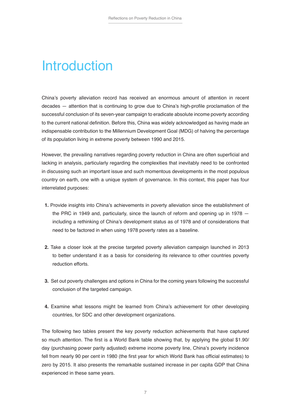### Introduction

China's poverty alleviation record has received an enormous amount of attention in recent decades — attention that is continuing to grow due to China's high-profile proclamation of the successful conclusion of its seven-year campaign to eradicate absolute income poverty according to the current national definition. Before this, China was widely acknowledged as having made an indispensable contribution to the Millennium Development Goal (MDG) of halving the percentage of its population living in extreme poverty between 1990 and 2015.

However, the prevailing narratives regarding poverty reduction in China are often superficial and lacking in analysis, particularly regarding the complexities that inevitably need to be confronted in discussing such an important issue and such momentous developments in the most populous country on earth, one with a unique system of governance. In this context, this paper has four interrelated purposes:

- **1.** Provide insights into China's achievements in poverty alleviation since the establishment of the PRC in 1949 and, particularly, since the launch of reform and opening up in 1978 including a rethinking of China's development status as of 1978 and of considerations that need to be factored in when using 1978 poverty rates as a baseline.
- **2.** Take a closer look at the precise targeted poverty alleviation campaign launched in 2013 to better understand it as a basis for considering its relevance to other countries poverty reduction efforts.
- **3.** Set out poverty challenges and options in China for the coming years following the successful conclusion of the targeted campaign.
- **4.** Examine what lessons might be learned from China's achievement for other developing countries, for SDC and other development organizations.

The following two tables present the key poverty reduction achievements that have captured so much attention. The first is a World Bank table showing that, by applying the global \$1.90/ day (purchasing power parity adjusted) extreme income poverty line, China's poverty incidence fell from nearly 90 per cent in 1980 (the first year for which World Bank has official estimates) to zero by 2015. It also presents the remarkable sustained increase in per capita GDP that China experienced in these same years.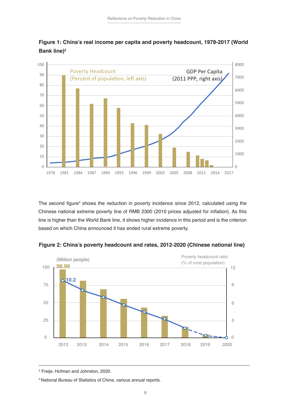



The second figure<sup>3</sup> shows the reduction in poverty incidence since 2012, calculated using the Chinese national extreme poverty line of RMB 2300 (2010 prices adjusted for inflation). As this line is higher than the World Bank line, it shows higher incidence in this period and is the criterion based on which China announced it has ended rural extreme poverty.



**Figure 2: China's poverty headcount and rates, 2012-2020 (Chinese national line)**

Freije, Hofman and Johnston, 2020.

<sup>3</sup> National Bureau of Statistics of China, various annual reports.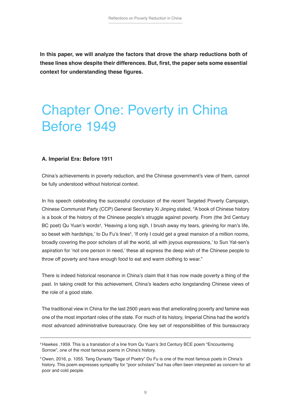**In this paper, we will analyze the factors that drove the sharp reductions both of these lines show despite their differences. But, first, the paper sets some essential context for understanding these figures.**

### Chapter One: Poverty in China Before 1949

#### **A. Imperial Era: Before 1911**

China's achievements in poverty reduction, and the Chinese government's view of them, cannot be fully understood without historical context.

In his speech celebrating the successful conclusion of the recent Targeted Poverty Campaign, Chinese Communist Party (CCP) General Secretary Xi Jinping stated, "A book of Chinese history is a book of the history of the Chinese people's struggle against poverty. From (the 3rd Century BC poet) Qu Yuan's words<sup>4</sup>, 'Heaving a long sigh, I brush away my tears, grieving for man's life, so beset with hardships,' to Du Fu's lines<sup>5</sup>, 'If only I could get a great mansion of a million rooms, broadly covering the poor scholars of all the world, all with joyous expressions,' to Sun Yat-sen's aspiration for 'not one person in need,' these all express the deep wish of the Chinese people to throw off poverty and have enough food to eat and warm clothing to wear."

There is indeed historical resonance in China's claim that it has now made poverty a thing of the past. In taking credit for this achievement, China's leaders echo longstanding Chinese views of the role of a good state.

The traditional view in China for the last 2500 years was that ameliorating poverty and famine was one of the most important roles of the state. For much of its history, Imperial China had the world's most advanced administrative bureaucracy. One key set of responsibilities of this bureaucracy

<sup>4</sup> Hawkes ,1959. This is a translation of a line from Qu Yuan's 3rd Century BCE poem "Encountering Sorrow", one of the most famous poems in China's history.

<sup>5</sup> Owen, 2016, p. 1055. Tang Dynasty "Sage of Poetry" Du Fu is one of the most famous poets in China's history. This poem expresses sympathy for "poor scholars" but has often been interpreted as concern for all poor and cold people.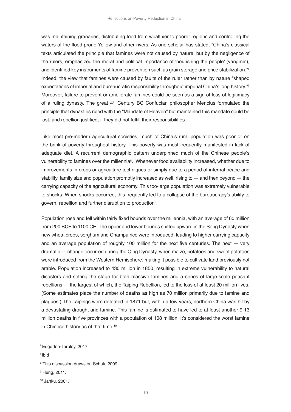was maintaining granaries, distributing food from wealthier to poorer regions and controlling the waters of the flood-prone Yellow and other rivers. As one scholar has stated, "China's classical texts articulated the principle that famines were not caused by nature, but by the negligence of the rulers, emphasized the moral and political importance of 'nourishing the people' (yangmin), and identified key instruments of famine prevention such as grain storage and price stabilization."6 Indeed, the view that famines were caused by faults of the ruler rather than by nature "shaped expectations of imperial and bureaucratic responsibility throughout imperial China's long history."7 Moreover, failure to prevent or ameliorate famines could be seen as a sign of loss of legitimacy of a ruling dynasty. The great 4<sup>th</sup> Century BC Confucian philosopher Mencius formulated the principle that dynasties ruled with the "Mandate of Heaven" but maintained this mandate could be lost, and rebellion justified, if they did not fulfill their responsibilities.

Like most pre-modern agricultural societies, much of China's rural population was poor or on the brink of poverty throughout history. This poverty was most frequently manifested in lack of adequate diet. A recurrent demographic pattern underpinned much of the Chinese people's vulnerability to famines over the millennia $^{\rm a}$ . Whenever food availability increased, whether due to improvements in crops or agriculture techniques or simply due to a period of internal peace and stability, family size and population promptly increased as well, rising to  $-$  and then beyond  $-$  the carrying capacity of the agricultural economy. This too-large population was extremely vulnerable to shocks. When shocks occurred, this frequently led to a collapse of the bureaucracy's ability to govern, rebellion and further disruption to production9 .

Population rose and fell within fairly fixed bounds over the millennia, with an average of 60 million from 200 BCE to 1100 CE. The upper and lower bounds shifted upward in the Song Dynasty when new wheat crops, sorghum and Champa rice were introduced, leading to higher carrying capacity and an average population of roughly 100 million for the next five centuries. The next  $-$  very dramatic — change occurred during the Qing Dynasty, when maize, potatoes and sweet potatoes were introduced from the Western Hemisphere, making it possible to cultivate land previously not arable. Population increased to 430 million in 1850, resulting in extreme vulnerability to natural disasters and setting the stage for both massive famines and a series of large-scale peasant rebellions — the largest of which, the Taiping Rebellion, led to the loss of at least 20 million lives. (Some estimates place the number of deaths as high as 70 million primarily due to famine and plagues.) The Taipings were defeated in 1871 but, within a few years, northern China was hit by a devastating drought and famine. This famine is estimated to have led to at least another 9-13 million deaths in five provinces with a population of 108 million. It's considered the worst famine in Chinese history as of that time.10

7 ibid

<sup>6</sup> Edgerton-Tarpley, 2017.

<sup>8</sup> This discussion draws on Schak, 2009.

<sup>9</sup> Hung, 2011.

<sup>10</sup> Janku, 2001.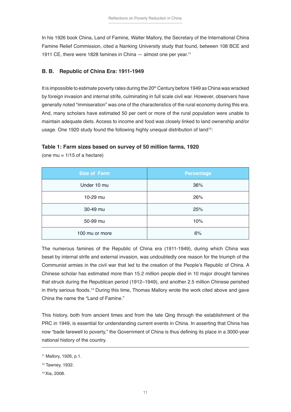In his 1926 book China, Land of Famine, Walter Mallory, the Secretary of the International China Famine Relief Commission, cited a Nanking University study that found, between 108 BCE and 1911 CE, there were 1828 famines in China — almost one per year.11

#### **B. B. Republic of China Era: 1911-1949**

It is impossible to estimate poverty rates during the 20<sup>th</sup> Century before 1949 as China was wracked by foreign invasion and internal strife, culminating in full scale civil war. However, observers have generally noted "immiseration" was one of the characteristics of the rural economy during this era. And, many scholars have estimated 50 per cent or more of the rural population were unable to maintain adequate diets. Access to income and food was closely linked to land ownership and/or usage. One 1920 study found the following highly unequal distribution of land<sup>12</sup>:

#### **Table 1: Farm sizes based on survey of 50 million farms, 1920**

| <b>Size of Farm</b> | <b>Percentage</b> |
|---------------------|-------------------|
| Under 10 mu         | 36%               |
| 10-29 mu            | 26%               |
| 30-49 mu            | 25%               |
| 50-99 mu            | 10%               |
| 100 mu or more      | 6%                |

(one mu =  $1/15$  of a hectare)

The numerous famines of the Republic of China era (1911-1949), during which China was beset by internal strife and external invasion, was undoubtedly one reason for the triumph of the Communist armies in the civil war that led to the creation of the People's Republic of China. A Chinese scholar has estimated more than 15.2 million people died in 10 major drought famines that struck during the Republican period (1912–1949), and another 2.5 million Chinese perished in thirty serious floods.<sup>13</sup> During this time, Thomas Mallory wrote the work cited above and gave China the name the "Land of Famine."

This history, both from ancient times and from the late Qing through the establishment of the PRC in 1949, is essential for understanding current events in China. In asserting that China has now "bade farewell to poverty," the Government of China is thus defining its place in a 3000-year national history of the country.

<sup>11</sup> Mallory, 1926, p.1.

<sup>12</sup> Tawney, 1932.

<sup>13</sup> Xia, 2008.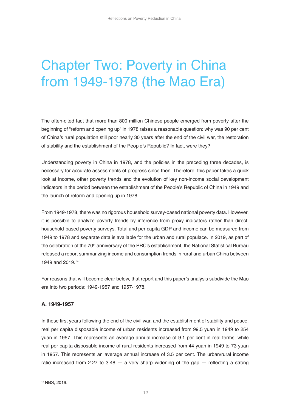### Chapter Two: Poverty in China from 1949-1978 (the Mao Era)

The often-cited fact that more than 800 million Chinese people emerged from poverty after the beginning of "reform and opening up" in 1978 raises a reasonable question: why was 90 per cent of China's rural population still poor nearly 30 years after the end of the civil war, the restoration of stability and the establishment of the People's Republic? In fact, were they?

Understanding poverty in China in 1978, and the policies in the preceding three decades, is necessary for accurate assessments of progress since then. Therefore, this paper takes a quick look at income, other poverty trends and the evolution of key non-income social development indicators in the period between the establishment of the People's Republic of China in 1949 and the launch of reform and opening up in 1978.

From 1949-1978, there was no rigorous household survey-based national poverty data. However, it is possible to analyze poverty trends by inference from proxy indicators rather than direct, household-based poverty surveys. Total and per capita GDP and income can be measured from 1949 to 1978 and separate data is available for the urban and rural populace. In 2019, as part of the celebration of the 70<sup>th</sup> anniversary of the PRC's establishment, the National Statistical Bureau released a report summarizing income and consumption trends in rural and urban China between 1949 and 2019.14

For reasons that will become clear below, that report and this paper's analysis subdivide the Mao era into two periods: 1949-1957 and 1957-1978.

#### **A. 1949-1957**

In these first years following the end of the civil war, and the establishment of stability and peace, real per capita disposable income of urban residents increased from 99.5 yuan in 1949 to 254 yuan in 1957. This represents an average annual increase of 9.1 per cent in real terms, while real per capita disposable income of rural residents increased from 44 yuan in 1949 to 73 yuan in 1957. This represents an average annual increase of 3.5 per cent. The urban/rural income ratio increased from 2.27 to 3.48  $-$  a very sharp widening of the gap  $-$  reflecting a strong

<sup>14</sup> NBS, 2019.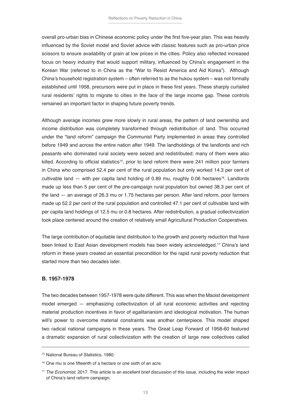overall pro-urban bias in Chinese economic policy under the first five-year plan. This was heavily influenced by the Soviet model and Soviet advice with classic features such as pro-urban price scissors to ensure availability of grain at low prices in the cities. Policy also reflected increased focus on heavy industry that would support military, influenced by China's engagement in the Korean War (referred to in China as the "War to Resist America and Aid Korea"). Although China's household registration system – often referred to as the hukou system – was not formally established until 1958, precursors were put in place in these first years. These sharply curtailed rural residents' rights to migrate to cities in the face of the large income gap. These controls remained an important factor in shaping future poverty trends.

Although average incomes grew more slowly in rural areas, the pattern of land ownership and income distribution was completely transformed through redistribution of land. This occurred under the "land reform" campaign the Communist Party implemented in areas they controlled before 1949 and across the entire nation after 1949. The landholdings of the landlords and rich peasants who dominated rural society were seized and redistributed; many of them were also killed. According to official statistics<sup>15</sup>, prior to land reform there were 241 million poor farmers in China who comprised 52.4 per cent of the rural population but only worked 14.3 per cent of cultivable land  $-$  with per capita land holding of 0.89 mu, roughly 0.06 hectares<sup>16</sup>. Landlords made up less than 5 per cent of the pre-campaign rural population but owned 38.3 per cent of the land — an average of 26.3 mu or 1.75 hectares per person. After land reform, poor farmers made up 52.2 per cent of the rural population and controlled 47.1 per cent of cultivable land with per capita land holdings of 12.5 mu or 0.8 hectares. After redistribution, a gradual collectivization took place centered around the creation of relatively small Agricultural Production Cooperatives.

The large contribution of equitable land distribution to the growth and poverty reduction that have been linked to East Asian development models has been widely acknowledged.<sup>17</sup> China's land reform in these years created an essential precondition for the rapid rural poverty reduction that started more than two decades later.

#### **B. 1957-1978**

The two decades between 1957-1978 were quite different. This was when the Maoist development model emerged — emphasizing collectivization of all rural economic activities and rejecting material production incentives in favor of egalitarianism and ideological motivation. The human will's power to overcome material constraints was another centerpiece. This model shaped two radical national campaigns in these years. The Great Leap Forward of 1958-60 featured a dramatic expansion of rural collectivization with the creation of large new collectives called

<sup>15</sup> National Bureau of Statistics, 1980.

<sup>&</sup>lt;sup>16</sup> One mu is one fifteenth of a hectare or one sixth of an acre.

<sup>&</sup>lt;sup>17</sup> The Economist, 2017. This article is an excellent brief discussion of this issue, including the wider impact of China's land reform campaign.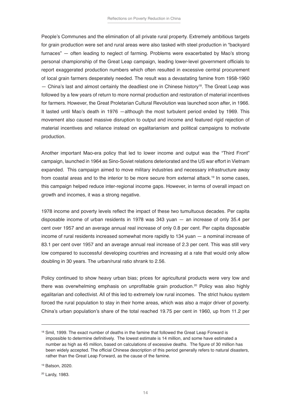People's Communes and the elimination of all private rural property. Extremely ambitious targets for grain production were set and rural areas were also tasked with steel production in "backyard furnaces" — often leading to neglect of farming. Problems were exacerbated by Mao's strong personal championship of the Great Leap campaign, leading lower-level government officials to report exaggerated production numbers which often resulted in excessive central procurement of local grain farmers desperately needed. The result was a devastating famine from 1958-1960  $-$  China's last and almost certainly the deadliest one in Chinese history<sup>18</sup>. The Great Leap was followed by a few years of return to more normal production and restoration of material incentives for farmers. However, the Great Proletarian Cultural Revolution was launched soon after, in 1966. It lasted until Mao's death in 1976 —although the most turbulent period ended by 1969. This movement also caused massive disruption to output and income and featured rigid rejection of material incentives and reliance instead on egalitarianism and political campaigns to motivate production.

Another important Mao-era policy that led to lower income and output was the "Third Front" campaign, launched in 1964 as Sino-Soviet relations deteriorated and the US war effort in Vietnam expanded. This campaign aimed to move military industries and necessary infrastructure away from coastal areas and to the interior to be more secure from external attack.<sup>19</sup> In some cases, this campaign helped reduce inter-regional income gaps. However, in terms of overall impact on growth and incomes, it was a strong negative.

1978 income and poverty levels reflect the impact of these two tumultuous decades. Per capita disposable income of urban residents in 1978 was 343 yuan — an increase of only 35.4 per cent over 1957 and an average annual real increase of only 0.8 per cent. Per capita disposable income of rural residents increased somewhat more rapidly to 134 yuan — a nominal increase of 83.1 per cent over 1957 and an average annual real increase of 2.3 per cent. This was still very low compared to successful developing countries and increasing at a rate that would only allow doubling in 30 years. The urban/rural ratio shrank to 2.56.

Policy continued to show heavy urban bias; prices for agricultural products were very low and there was overwhelming emphasis on unprofitable grain production.<sup>20</sup> Policy was also highly egalitarian and collectivist. All of this led to extremely low rural incomes. The strict hukou system forced the rural population to stay in their home areas, which was also a major driver of poverty. China's urban population's share of the total reached 19.75 per cent in 1960, up from 11.2 per

20 Lardy, 1983.

<sup>&</sup>lt;sup>18</sup> Smil, 1999. The exact number of deaths in the famine that followed the Great Leap Forward is impossible to determine definitively. The lowest estimate is 14 million, and some have estimated a number as high as 45 million, based on calculations of excessive deaths. The figure of 30 million has been widely accepted. The official Chinese description of this period generally refers to natural disasters, rather than the Great Leap Forward, as the cause of the famine.

<sup>19</sup> Batson, 2020.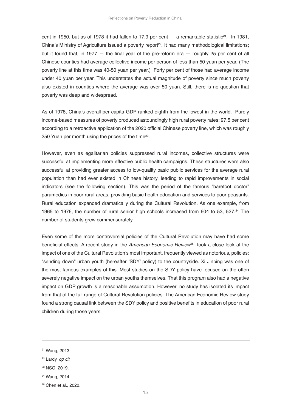cent in 1950, but as of 1978 it had fallen to 17.9 per cent  $-$  a remarkable statistic<sup>21</sup>. In 1981, China's Ministry of Agriculture issued a poverty report<sup>22</sup>. It had many methodological limitations; but it found that, in 1977  $-$  the final year of the pre-reform era  $-$  roughly 25 per cent of all Chinese counties had average collective income per person of less than 50 yuan per year. (The poverty line at this time was 40-50 yuan per year.) Forty per cent of those had average income under 40 yuan per year. This understates the actual magnitude of poverty since much poverty also existed in counties where the average was over 50 yuan. Still, there is no question that poverty was deep and widespread.

As of 1978, China's overall per capita GDP ranked eighth from the lowest in the world. Purely income-based measures of poverty produced astoundingly high rural poverty rates: 97.5 per cent according to a retroactive application of the 2020 official Chinese poverty line, which was roughly 250 Yuan per month using the prices of the time<sup>23</sup>.

However, even as egalitarian policies suppressed rural incomes, collective structures were successful at implementing more effective public health campaigns. These structures were also successful at providing greater access to low-quality basic public services for the average rural population than had ever existed in Chinese history, leading to rapid improvements in social indicators (see the following section). This was the period of the famous "barefoot doctor" paramedics in poor rural areas, providing basic health education and services to poor peasants. Rural education expanded dramatically during the Cultural Revolution. As one example, from 1965 to 1976, the number of rural senior high schools increased from 604 to 53, 527.<sup>24</sup> The number of students grew commensurately.

Even some of the more controversial policies of the Cultural Revolution may have had some beneficial effects. A recent study in the *American Economic Review*25 took a close look at the impact of one of the Cultural Revolution's most important, frequently viewed as notorious, policies: "sending down" urban youth (hereafter 'SDY' policy) to the countryside. Xi Jinping was one of the most famous examples of this. Most studies on the SDY policy have focused on the often severely negative impact on the urban youths themselves. That this program also had a negative impact on GDP growth is a reasonable assumption. However, no study has isolated its impact from that of the full range of Cultural Revolution policies. The American Economic Review study found a strong causal link between the SDY policy and positive benefits in education of poor rural children during those years.

<sup>21</sup> Wang, 2013.

<sup>22</sup> Lardy, *op cit*

<sup>23</sup> NSO, 2019.

<sup>24</sup> Wang, 2014.

<sup>25</sup> Chen et al., 2020.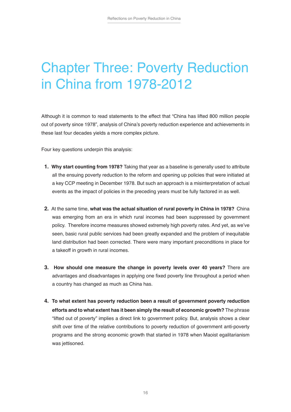### Chapter Three: Poverty Reduction in China from 1978-2012

Although it is common to read statements to the effect that "China has lifted 800 million people out of poverty since 1978", analysis of China's poverty reduction experience and achievements in these last four decades yields a more complex picture.

Four key questions underpin this analysis:

- **1. Why start counting from 1978?** Taking that year as a baseline is generally used to attribute all the ensuing poverty reduction to the reform and opening up policies that were initiated at a key CCP meeting in December 1978. But such an approach is a misinterpretation of actual events as the impact of policies in the preceding years must be fully factored in as well.
- **2.** At the same time, **what was the actual situation of rural poverty in China in 1978?** China was emerging from an era in which rural incomes had been suppressed by government policy. Therefore income measures showed extremely high poverty rates. And yet, as we've seen, basic rural public services had been greatly expanded and the problem of inequitable land distribution had been corrected. There were many important preconditions in place for a takeoff in growth in rural incomes.
- **3. How should one measure the change in poverty levels over 40 years?** There are advantages and disadvantages in applying one fixed poverty line throughout a period when a country has changed as much as China has.
- **4. To what extent has poverty reduction been a result of government poverty reduction efforts and to what extent has it been simply the result of economic growth?** The phrase "lifted out of poverty" implies a direct link to government policy. But, analysis shows a clear shift over time of the relative contributions to poverty reduction of government anti-poverty programs and the strong economic growth that started in 1978 when Maoist egalitarianism was iettisoned.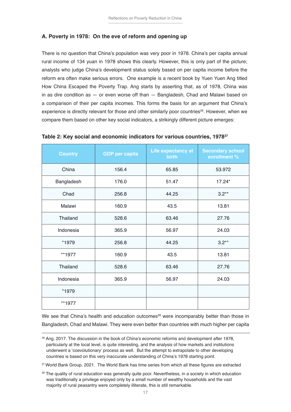#### **A. Poverty in 1978: On the eve of reform and opening up**

There is no question that China's population was very poor in 1978. China's per capita annual rural income of 134 yuan in 1978 shows this clearly. However, this is only part of the picture; analysts who judge China's development status solely based on per capita income before the reform era often make serious errors. One example is a recent book by Yuen Yuen Ang titled How China Escaped the Poverty Trap. Ang starts by asserting that, as of 1978, China was in as dire condition as — or even worse off than — Bangladesh, Chad and Malawi based on a comparison of their per capita incomes. This forms the basis for an argument that China's experience is directly relevant for those and other similarly poor countries<sup>26</sup>. However, when we compare them based on other key social indicators, a strikingly different picture emerges:

| <b>Country</b>  | <b>GDP</b> per capita | Life expectancy at<br><b>birth</b> | <b>Secondary school</b><br>enrollment % |
|-----------------|-----------------------|------------------------------------|-----------------------------------------|
| China           | 156.4                 | 65.85                              | 53.972                                  |
| Bangladesh      | 176.0                 | 51.47                              | $17.24*$                                |
| Chad            | 256.8                 | 44.25                              | $3.2**$                                 |
| Malawi          | 160.9                 | 43.5                               | 13.81                                   |
| Thailand        | 528.6                 | 63.46                              | 27.76                                   |
| Indonesia       | 365.9                 | 56.97                              | 24.03                                   |
| *1979           | 256.8                 | 44.25                              | $3.2**$                                 |
| **1977          | 160.9                 | 43.5                               | 13.81                                   |
| <b>Thailand</b> | 528.6                 | 63.46                              | 27.76                                   |
| Indonesia       | 365.9                 | 56.97                              | 24.03                                   |
| *1979           |                       |                                    |                                         |
| **1977          |                       |                                    |                                         |

**Table 2: Key social and economic indicators for various countries, 197827**

We see that China's health and education outcomes<sup>28</sup> were incomparably better than those in Bangladesh, Chad and Malawi. They were even better than countries with much higher per capita

<sup>27</sup> World Bank Group, 2021. The World Bank has time series from which all these figures are extracted

<sup>&</sup>lt;sup>26</sup> Ang, 2017. The discussion in the book of China's economic reforms and development after 1978, particularly at the local level, is quite interesting, and the analysis of how markets and institutions underwent a 'coevolutionary' process as well. But the attempt to extrapolate to other developing countries is based on this very inaccurate understanding of China's 1978 starting point.

<sup>&</sup>lt;sup>28</sup> The quality of rural education was generally quite poor. Nevertheless, in a society in which education was traditionally a privilege enjoyed only by a small number of wealthy households and the vast majority of rural peasantry were completely illiterate, this is still remarkable.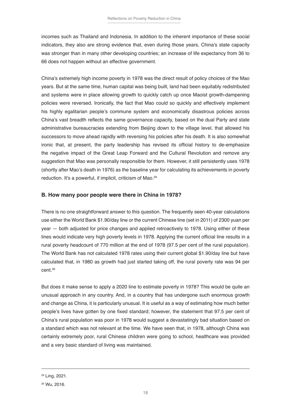incomes such as Thailand and Indonesia. In addition to the inherent importance of these social indicators, they also are strong evidence that, even during those years, China's state capacity was stronger than in many other developing countries; an increase of life expectancy from 36 to 66 does not happen without an effective government.

China's extremely high income poverty in 1978 was the direct result of policy choices of the Mao years. But at the same time, human capital was being built, land had been equitably redistributed and systems were in place allowing growth to quickly catch up once Maoist growth-dampening policies were reversed. Ironically, the fact that Mao could so quickly and effectively implement his highly egalitarian people's commune system and economically disastrous policies across China's vast breadth reflects the same governance capacity, based on the dual Party and state administrative bureaucracies extending from Beijing down to the village level, that allowed his successors to move ahead rapidly with reversing his policies after his death. It is also somewhat ironic that, at present, the party leadership has revised its official history to de-emphasize the negative impact of the Great Leap Forward and the Cultural Revolution and remove any suggestion that Mao was personally responsible for them. However, it still persistently uses 1978 (shortly after Mao's death in 1976) as the baseline year for calculating its achievements in poverty reduction. It's a powerful, if implicit, criticism of Mao.<sup>29</sup>

#### **B. How many poor people were there in China in 1978?**

There is no one straightforward answer to this question. The frequently seen 40-year calculations use either the World Bank \$1.90/day line or the current Chinese line (set in 2011) of 2300 yuan per year — both adjusted for price changes and applied retroactively to 1978. Using either of these lines would indicate very high poverty levels in 1978. Applying the current official line results in a rural poverty headcount of 770 million at the end of 1978 (97.5 per cent of the rural population). The World Bank has not calculated 1978 rates using their current global \$1.90/day line but have calculated that, in 1980 as growth had just started taking off, the rural poverty rate was 94 per cent.30

But does it make sense to apply a 2020 line to estimate poverty in 1978? This would be quite an unusual approach in any country. And, in a country that has undergone such enormous growth and change as China, it is particularly unusual. It is useful as a way of estimating how much better people's lives have gotten by one fixed standard; however, the statement that 97.5 per cent of China's rural population was poor in 1978 would suggest a devastatingly bad situation based on a standard which was not relevant at the time. We have seen that, in 1978, although China was certainly extremely poor, rural Chinese children were going to school, healthcare was provided and a very basic standard of living was maintained.

<sup>29</sup> Ling, 2021.

<sup>30</sup> Wu, 2016.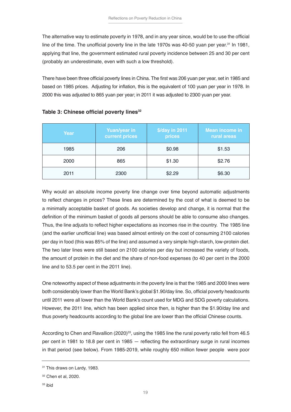The alternative way to estimate poverty in 1978, and in any year since, would be to use the official line of the time. The unofficial poverty line in the late 1970s was 40-50 yuan per year.<sup>31</sup> In 1981, applying that line, the government estimated rural poverty incidence between 25 and 30 per cent (probably an underestimate, even with such a low threshold).

There have been three official poverty lines in China. The first was 206 yuan per year, set in 1985 and based on 1985 prices. Adjusting for inflation, this is the equivalent of 100 yuan per year in 1978. In 2000 this was adjusted to 865 yuan per year; in 2011 it was adjusted to 2300 yuan per year.

| Year | <b>Yuan/year in</b><br>current prices | \$/day in 2011<br>prices | <b>Mean income in</b><br>rural areas |
|------|---------------------------------------|--------------------------|--------------------------------------|
| 1985 | 206                                   | \$0.98                   | \$1.53                               |
| 2000 | 865                                   | \$1.30                   | \$2.76                               |
| 2011 | 2300                                  | \$2.29                   | \$6.30                               |

#### **Table 3: Chinese official poverty lines<sup>32</sup>**

Why would an absolute income poverty line change over time beyond automatic adjustments to reflect changes in prices? These lines are determined by the cost of what is deemed to be a minimally acceptable basket of goods. As societies develop and change, it is normal that the definition of the minimum basket of goods all persons should be able to consume also changes. Thus, the line adjusts to reflect higher expectations as incomes rise in the country. The 1985 line (and the earlier unofficial line) was based almost entirely on the cost of consuming 2100 calories per day in food (this was 85% of the line) and assumed a very simple high-starch, low-protein diet. The two later lines were still based on 2100 calories per day but increased the variety of foods, the amount of protein in the diet and the share of non-food expenses (to 40 per cent in the 2000 line and to 53.5 per cent in the 2011 line).

One noteworthy aspect of these adjustments in the poverty line is that the 1985 and 2000 lines were both considerably lower than the World Bank's global \$1.90/day line. So, official poverty headcounts until 2011 were all lower than the World Bank's count used for MDG and SDG poverty calculations. However, the 2011 line, which has been applied since then, is higher than the \$1.90/day line and thus poverty headcounts according to the global line are lower than the official Chinese counts.

According to Chen and Ravallion (2020)<sup>33</sup>, using the 1985 line the rural poverty ratio fell from 46.5 per cent in 1981 to 18.8 per cent in 1985 — reflecting the extraordinary surge in rural incomes in that period (see below). From 1985-2019, while roughly 650 million fewer people were poor

<sup>&</sup>lt;sup>31</sup> This draws on Lardy, 1983.

<sup>32</sup> Chen et al, 2020.

<sup>33</sup> ibid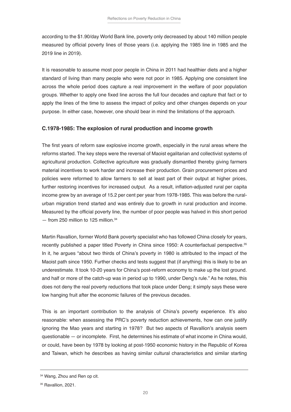according to the \$1.90/day World Bank line, poverty only decreased by about 140 million people measured by official poverty lines of those years (i.e. applying the 1985 line in 1985 and the 2019 line in 2019).

It is reasonable to assume most poor people in China in 2011 had healthier diets and a higher standard of living than many people who were not poor in 1985. Applying one consistent line across the whole period does capture a real improvement in the welfare of poor population groups. Whether to apply one fixed line across the full four decades and capture that fact or to apply the lines of the time to assess the impact of policy and other changes depends on your purpose. In either case, however, one should bear in mind the limitations of the approach.

#### **C.1978-1985: The explosion of rural production and income growth**

The first years of reform saw explosive income growth, especially in the rural areas where the reforms started. The key steps were the reversal of Maoist egalitarian and collectivist systems of agricultural production. Collective agriculture was gradually dismantled thereby giving farmers material incentives to work harder and increase their production. Grain procurement prices and policies were reformed to allow farmers to sell at least part of their output at higher prices, further restoring incentives for increased output. As a result, inflation-adjusted rural per capita income grew by an average of 15.2 per cent per year from 1978-1985. This was before the ruralurban migration trend started and was entirely due to growth in rural production and income. Measured by the official poverty line, the number of poor people was halved in this short period — from 250 million to 125 million.34

Martin Ravallion, former World Bank poverty specialist who has followed China closely for years, recently published a paper titled Poverty in China since 1950: A counterfactual perspective.<sup>35</sup> In it, he argues "about two thirds of China's poverty in 1980 is attributed to the impact of the Maoist path since 1950. Further checks and tests suggest that (if anything) this is likely to be an underestimate. It took 10-20 years for China's post-reform economy to make up the lost ground. and half or more of the catch-up was in period up to 1990, under Deng's rule." As he notes, this does not deny the real poverty reductions that took place under Deng; it simply says these were low hanging fruit after the economic failures of the previous decades.

This is an important contribution to the analysis of China's poverty experience. It's also reasonable: when assessing the PRC's poverty reduction achievements, how can one justify ignoring the Mao years and starting in 1978? But two aspects of Ravallion's analysis seem questionable — or incomplete. First, he determines his estimate of what income in China would, or could, have been by 1978 by looking at post-1950 economic history in the Republic of Korea and Taiwan, which he describes as having similar cultural characteristics and similar starting

<sup>34</sup> Wang, Zhou and Ren op cit.

<sup>35</sup> Ravallion, 2021.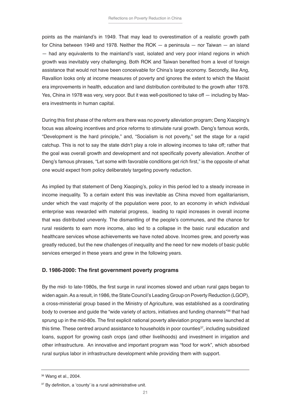points as the mainland's in 1949. That may lead to overestimation of a realistic growth path for China between 1949 and 1978. Neither the ROK — a peninsula — nor Taiwan — an island — had any equivalents to the mainland's vast, isolated and very poor inland regions in which growth was inevitably very challenging. Both ROK and Taiwan benefited from a level of foreign assistance that would not have been conceivable for China's large economy. Secondly, like Ang, Ravallion looks only at income measures of poverty and ignores the extent to which the Maoist era improvements in health, education and land distribution contributed to the growth after 1978. Yes, China in 1978 was very, very poor. But it was well-positioned to take off — including by Maoera investments in human capital.

During this first phase of the reform era there was no poverty alleviation program; Deng Xiaoping's focus was allowing incentives and price reforms to stimulate rural growth. Deng's famous words, "Development is the hard principle," and, "Socialism is not poverty," set the stage for a rapid catchup. This is not to say the state didn't play a role in allowing incomes to take off; rather that the goal was overall growth and development and not specifically poverty alleviation. Another of Deng's famous phrases, "Let some with favorable conditions get rich first," is the opposite of what one would expect from policy deliberately targeting poverty reduction.

As implied by that statement of Deng Xiaoping's, policy in this period led to a steady increase in income inequality. To a certain extent this was inevitable as China moved from egalitarianism, under which the vast majority of the population were poor, to an economy in which individual enterprise was rewarded with material progress, leading to rapid increases in overall income that was distributed unevenly. The dismantling of the people's communes, and the chance for rural residents to earn more income, also led to a collapse in the basic rural education and healthcare services whose achievements we have noted above. Incomes grew, and poverty was greatly reduced, but the new challenges of inequality and the need for new models of basic public services emerged in these years and grew in the following years.

#### **D. 1986-2000: The first government poverty programs**

By the mid- to late-1980s, the first surge in rural incomes slowed and urban rural gaps began to widen again. As a result, in 1986, the State Council's Leading Group on Poverty Reduction (LGOP), a cross-ministerial group based in the Ministry of Agriculture, was established as a coordinating body to oversee and guide the "wide variety of actors, initiatives and funding channels"<sup>36</sup> that had sprung up in the mid-80s. The first explicit national poverty alleviation programs were launched at this time. These centred around assistance to households in poor counties<sup>37</sup>, including subsidized loans, support for growing cash crops (and other livelihoods) and investment in irrigation and other infrastructure. An innovative and important program was "food for work", which absorbed rural surplus labor in infrastructure development while providing them with support.

<sup>36</sup> Wang et al., 2004.

<sup>&</sup>lt;sup>37</sup> By definition, a 'county' is a rural administrative unit.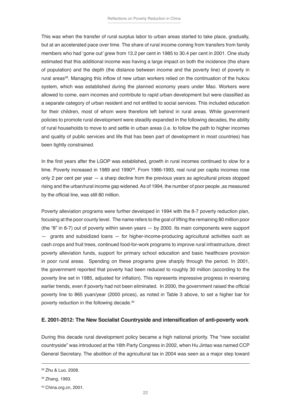This was when the transfer of rural surplus labor to urban areas started to take place, gradually, but at an accelerated pace over time. The share of rural income coming from transfers from family members who had 'gone out' grew from 13.2 per cent in 1985 to 30.4 per cent in 2001. One study estimated that this additional income was having a large impact on both the incidence (the share of population) and the depth (the distance between income and the poverty line) of poverty in rural areas<sup>38</sup>. Managing this inflow of new urban workers relied on the continuation of the hukou system, which was established during the planned economy years under Mao. Workers were allowed to come, earn incomes and contribute to rapid urban development but were classified as a separate category of urban resident and not entitled to social services. This included education for their children, most of whom were therefore left behind in rural areas. While government policies to promote rural development were steadily expanded in the following decades, the ability of rural households to move to and settle in urban areas (i.e. to follow the path to higher incomes and quality of public services and life that has been part of development in most countries) has been tightly constrained.

In the first years after the LGOP was established, growth in rural incomes continued to slow for a time. Poverty increased in 1989 and 1990<sup>39</sup>. From 1986-1993, real rural per capita incomes rose only 2 per cent per year — a sharp decline from the previous years as agricultural prices stopped rising and the urban/rural income gap widened. As of 1994, the number of poor people ,as measured by the official line, was still 80 million.

Poverty alleviation programs were further developed in 1994 with the 8-7 poverty reduction plan, focusing at the poor county level. The name refers to the goal of lifting the remaining 80 million poor (the "8" in 8-7) out of poverty within seven years — by 2000. Its main components were support — grants and subsidized loans — for higher-income-producing agricultural activities such as cash crops and fruit trees, continued food-for-work programs to improve rural infrastructure, direct poverty alleviation funds, support for primary school education and basic healthcare provision in poor rural areas. Spending on these programs grew sharply through the period. In 2001, the government reported that poverty had been reduced to roughly 30 million (according to the poverty line set in 1985, adjusted for inflation). This represents impressive progress in reversing earlier trends, even if poverty had not been eliminated. In 2000, the government raised the official poverty line to 865 yuan/year (2000 prices), as noted in Table 3 above, to set a higher bar for poverty reduction in the following decade.40

#### **E. 2001-2012: The New Socialist Countryside and intensification of anti-poverty work**

During this decade rural development policy became a high national priority. The "new socialist countryside" was introduced at the 16th Party Congress in 2002, when Hu Jintao was named CCP General Secretary. The abolition of the agricultural tax in 2004 was seen as a major step toward

<sup>38</sup> Zhu & Luo, 2008.

<sup>39</sup> Zhang, 1993.

<sup>40</sup> China.org.cn, 2001.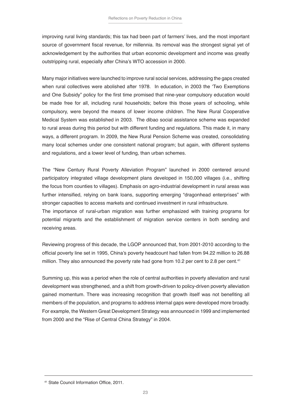improving rural living standards; this tax had been part of farmers' lives, and the most important source of government fiscal revenue, for millennia. Its removal was the strongest signal yet of acknowledgement by the authorities that urban economic development and income was greatly outstripping rural, especially after China's WTO accession in 2000.

Many major initiatives were launched to improve rural social services, addressing the gaps created when rural collectives were abolished after 1978. In education, in 2003 the 'Two Exemptions and One Subsidy" policy for the first time promised that nine-year compulsory education would be made free for all, including rural households; before this those years of schooling, while compulsory, were beyond the means of lower income children. The New Rural Cooperative Medical System was established in 2003. The dibao social assistance scheme was expanded to rural areas during this period but with different funding and regulations. This made it, in many ways, a different program. In 2009, the New Rural Pension Scheme was created, consolidating many local schemes under one consistent national program; but again, with different systems and regulations, and a lower level of funding, than urban schemes.

The "New Century Rural Poverty Alleviation Program" launched in 2000 centered around participatory integrated village development plans developed in 150,000 villages (i.e., shifting the focus from counties to villages). Emphasis on agro-industrial development in rural areas was further intensified, relying on bank loans, supporting emerging "dragonhead enterprises" with stronger capacities to access markets and continued investment in rural infrastructure.

The importance of rural-urban migration was further emphasized with training programs for potential migrants and the establishment of migration service centers in both sending and receiving areas.

Reviewing progress of this decade, the LGOP announced that, from 2001-2010 according to the official poverty line set in 1995, China's poverty headcount had fallen from 94.22 million to 26.88 million. They also announced the poverty rate had gone from 10.2 per cent to 2.8 per cent.<sup>41</sup>

Summing up, this was a period when the role of central authorities in poverty alleviation and rural development was strengthened, and a shift from growth-driven to policy-driven poverty alleviation gained momentum. There was increasing recognition that growth itself was not benefiting all members of the population, and programs to address internal gaps were developed more broadly. For example, the Western Great Development Strategy was announced in 1999 and implemented from 2000 and the "Rise of Central China Strategy" in 2004.

<sup>41</sup> State Council Information Office, 2011.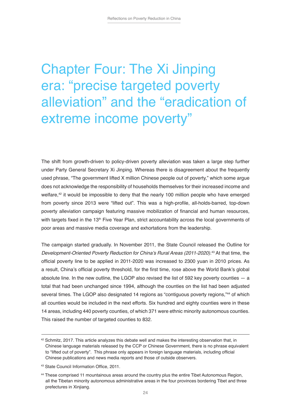### Chapter Four: The Xi Jinping era: "precise targeted poverty alleviation" and the "eradication of extreme income poverty"

The shift from growth-driven to policy-driven poverty alleviation was taken a large step further under Party General Secretary Xi Jinping. Whereas there is disagreement about the frequently used phrase, "The government lifted X million Chinese people out of poverty," which some argue does not acknowledge the responsibility of households themselves for their increased income and welfare, $42$  it would be impossible to deny that the nearly 100 million people who have emerged from poverty since 2013 were "lifted out". This was a high-profile, all-holds-barred, top-down poverty alleviation campaign featuring massive mobilization of financial and human resources, with targets fixed in the 13<sup>th</sup> Five Year Plan, strict accountability across the local governments of poor areas and massive media coverage and exhortations from the leadership.

The campaign started gradually. In November 2011, the State Council released the Outline for Development-Oriented Poverty Reduction for China's Rural Areas (2011-2020).<sup>43</sup> At that time, the official poverty line to be applied in 2011-2020 was increased to 2300 yuan in 2010 prices. As a result, China's official poverty threshold, for the first time, rose above the World Bank's global absolute line. In the new outline, the LGOP also revised the list of 592 key poverty counties  $-$  a total that had been unchanged since 1994, although the counties on the list had been adjusted several times. The LGOP also designated 14 regions as "contiguous poverty regions,"44 of which all counties would be included in the next efforts. Six hundred and eighty counties were in these 14 areas, including 440 poverty counties, of which 371 were ethnic minority autonomous counties. This raised the number of targeted counties to 832.

 $42$  Schmitz, 2017. This article analyzes this debate well and makes the interesting observation that, in Chinese language materials released by the CCP or Chinese Government, there is no phrase equivalent to "lifted out of poverty". This phrase only appears in foreign language materials, including official Chinese publications and news media reports and those of outside observers.

<sup>43</sup> State Council Information Office, 2011.

<sup>44</sup> These comprised 11 mountainous areas around the country plus the entire Tibet Autonomous Region, all the Tibetan minority autonomous administrative areas in the four provinces bordering Tibet and three prefectures in Xinjiang.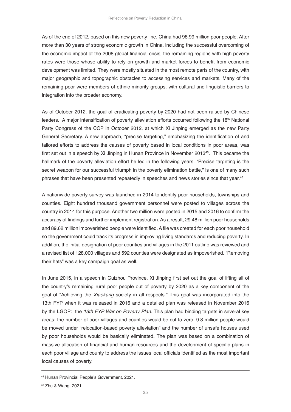As of the end of 2012, based on this new poverty line, China had 98.99 million poor people. After more than 30 years of strong economic growth in China, including the successful overcoming of the economic impact of the 2008 global financial crisis, the remaining regions with high poverty rates were those whose ability to rely on growth and market forces to benefit from economic development was limited. They were mostly situated in the most remote parts of the country, with major geographic and topographic obstacles to accessing services and markets. Many of the remaining poor were members of ethnic minority groups, with cultural and linguistic barriers to integration into the broader economy.

As of October 2012, the goal of eradicating poverty by 2020 had not been raised by Chinese leaders. A major intensification of poverty alleviation efforts occurred following the 18<sup>th</sup> National Party Congress of the CCP in October 2012, at which Xi Jinping emerged as the new Party General Secretary. A new approach, "precise targeting," emphasizing the identification of and tailored efforts to address the causes of poverty based in local conditions in poor areas, was first set out in a speech by Xi Jinping in Hunan Province in November 2013<sup>45</sup>. This became the hallmark of the poverty alleviation effort he led in the following years. "Precise targeting is the secret weapon for our successful triumph in the poverty elimination battle," is one of many such phrases that have been presented repeatedly in speeches and news stories since that year. 46

A nationwide poverty survey was launched in 2014 to identify poor households, townships and counties. Eight hundred thousand government personnel were posted to villages across the country in 2014 for this purpose. Another two million were posted in 2015 and 2016 to confirm the accuracy of findings and further implement registration. As a result, 29.48 million poor households and 89.62 million impoverished people were identified. A file was created for each poor household so the government could track its progress in improving living standards and reducing poverty. In addition, the initial designation of poor counties and villages in the 2011 outline was reviewed and a revised list of 128,000 villages and 592 counties were designated as impoverished. "Removing their hats" was a key campaign goal as well.

In June 2015, in a speech in Guizhou Province, Xi Jinping first set out the goal of lifting all of the country's remaining rural poor people out of poverty by 2020 as a key component of the goal of "Achieving the *Xiaokang* society in all respects." This goal was incorporated into the 13th FYP when it was released in 2016 and a detailed plan was released in November 2016 by the LGOP: the 13th FYP War on Poverty Plan. This plan had binding targets in several key areas: the number of poor villages and counties would be cut to zero, 9.8 million people would be moved under "relocation-based poverty alleviation" and the number of unsafe houses used by poor households would be basically eliminated. The plan was based on a combination of massive allocation of financial and human resources and the development of specific plans in each poor village and county to address the issues local officials identified as the most important local causes of poverty.

<sup>45</sup> Hunan Provincial People's Government, 2021.

<sup>46</sup> Zhu & Wang, 2021.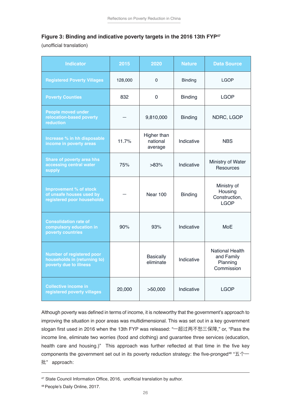#### **Figure 3: Binding and indicative poverty targets in the 2016 13th FYP47**

(unofficial translation)

| <b>Indicator</b>                                                                           | 2015    | 2020                               | <b>Nature</b>  | <b>Data Source</b>                                             |
|--------------------------------------------------------------------------------------------|---------|------------------------------------|----------------|----------------------------------------------------------------|
| <b>Registered Poverty Villages</b>                                                         | 128,000 | $\Omega$                           | <b>Binding</b> | <b>LGOP</b>                                                    |
| <b>Poverty Counties</b>                                                                    | 832     | $\mathbf 0$                        | <b>Binding</b> | <b>LGOP</b>                                                    |
| <b>People moved under</b><br>relocation-based poverty<br>reduction                         |         | 9,810,000                          | <b>Binding</b> | NDRC, LGOP                                                     |
| Increase % in hh disposable<br>income in poverty areas                                     | 11.7%   | Higher than<br>national<br>average | Indicative     | <b>NBS</b>                                                     |
| <b>Share of poverty area hhs</b><br>accessing central water<br>supply                      | 75%     | >83%                               | Indicative     | Ministry of Water<br>Resources                                 |
| Improvement % of stock<br>of unsafe houses used by<br>registered poor households           |         | <b>Near 100</b>                    | <b>Binding</b> | Ministry of<br>Housing<br>Construction,<br><b>LGOP</b>         |
| <b>Consolidation rate of</b><br>compulsory education in<br>poverty countries               | 90%     | 93%                                | Indicative     | <b>MoE</b>                                                     |
| <b>Number of registered poor</b><br>households in (returning to)<br>poverty due to illness |         | <b>Basically</b><br>eliminate      | Indicative     | <b>National Health</b><br>and Family<br>Planning<br>Commission |
| <b>Collective income in</b><br>registered poverty villages                                 | 20,000  | >50,000                            | Indicative     | <b>LGOP</b>                                                    |

Although poverty was defined in terms of income, it is noteworthy that the government's approach to improving the situation in poor areas was multidimensional. This was set out in a key government slogan first used in 2016 when the 13th FYP was released: "一超过两不愁三保障," or, "Pass the income line, eliminate two worries (food and clothing) and guarantee three services (education, health care and housing.)" This approach was further reflected at that time in the five key components the government set out in its poverty reduction strategy: the five-pronged<sup>48</sup> "五个一 批" approach:

<sup>47</sup> State Council Information Office, 2016, unofficial translation by author.

<sup>48</sup> People's Daily Online, 2017.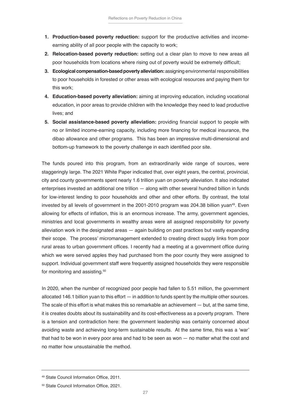- **1. Production-based poverty reduction:** support for the productive activities and incomeearning ability of all poor people with the capacity to work;
- **2. Relocation-based poverty reduction:** setting out a clear plan to move to new areas all poor households from locations where rising out of poverty would be extremely difficult;
- **3. Ecological compensation-based poverty alleviation:** assigning environmental responsibilities to poor households in forested or other areas with ecological resources and paying them for this work;
- **4. Education-based poverty alleviation:** aiming at improving education, including vocational education, in poor areas to provide children with the knowledge they need to lead productive lives; and
- **5. Social assistance-based poverty alleviation:** providing financial support to people with no or limited income-earning capacity, including more financing for medical insurance, the dibao allowance and other programs. This has been an impressive multi-dimensional and bottom-up framework to the poverty challenge in each identified poor site.

The funds poured into this program, from an extraordinarily wide range of sources, were staggeringly large. The 2021 White Paper indicated that, over eight years, the central, provincial, city and county governments spent nearly 1.6 trillion yuan on poverty alleviation. It also indicated enterprises invested an additional one trillion — along with other several hundred billion in funds for low-interest lending to poor households and other and other efforts. By contrast, the total invested by all levels of government in the 2001-2010 program was 204.38 billion yuan<sup>49</sup>. Even allowing for effects of inflation, this is an enormous increase. The army, government agencies, ministries and local governments in wealthy areas were all assigned responsibility for poverty alleviation work in the designated areas — again building on past practices but vastly expanding their scope. The process' micromanagement extended to creating direct supply links from poor rural areas to urban government offices. I recently had a meeting at a government office during which we were served apples they had purchased from the poor county they were assigned to support. Individual government staff were frequently assigned households they were responsible for monitoring and assisting.<sup>50</sup>

In 2020, when the number of recognized poor people had fallen to 5.51 million, the government allocated 146.1 billion yuan to this effort — in addition to funds spent by the multiple other sources. The scale of this effort is what makes this so remarkable an achievement — but, at the same time, it is creates doubts about its sustainability and its cost-effectiveness as a poverty program. There is a tension and contradiction here: the government leadership was certainly concerned about avoiding waste and achieving long-term sustainable results. At the same time, this was a 'war' that had to be won in every poor area and had to be seen as won — no matter what the cost and no matter how unsustainable the method.

<sup>49</sup> State Council Information Office, 2011.

<sup>50</sup> State Council Information Office, 2021.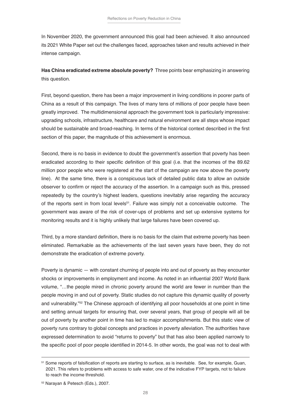In November 2020, the government announced this goal had been achieved. It also announced its 2021 White Paper set out the challenges faced, approaches taken and results achieved in their intense campaign.

**Has China eradicated extreme absolute poverty?** Three points bear emphasizing in answering this question.

First, beyond question, there has been a major improvement in living conditions in poorer parts of China as a result of this campaign. The lives of many tens of millions of poor people have been greatly improved. The multidimensional approach the government took is particularly impressive: upgrading schools, infrastructure, healthcare and natural environment are all steps whose impact should be sustainable and broad-reaching. In terms of the historical context described in the first section of this paper, the magnitude of this achievement is enormous.

Second, there is no basis in evidence to doubt the government's assertion that poverty has been eradicated according to their specific definition of this goal (i.e. that the incomes of the 89.62 million poor people who were registered at the start of the campaign are now above the poverty line). At the same time, there is a conspicuous lack of detailed public data to allow an outside observer to confirm or reject the accuracy of the assertion. In a campaign such as this, pressed repeatedly by the country's highest leaders, questions inevitably arise regarding the accuracy of the reports sent in from local levels<sup>51</sup>. Failure was simply not a conceivable outcome. The government was aware of the risk of cover-ups of problems and set up extensive systems for monitoring results and it is highly unlikely that large failures have been covered up.

Third, by a more standard definition, there is no basis for the claim that extreme poverty has been eliminated. Remarkable as the achievements of the last seven years have been, they do not demonstrate the eradication of extreme poverty.

Poverty is dynamic — with constant churning of people into and out of poverty as they encounter shocks or improvements in employment and income. As noted in an influential 2007 World Bank volume, "…the people mired in chronic poverty around the world are fewer in number than the people moving in and out of poverty. Static studies do not capture this dynamic quality of poverty and vulnerability."<sup>52</sup> The Chinese approach of identifying all poor households at one point in time and setting annual targets for ensuring that, over several years, that group of people will all be out of poverty by another point in time has led to major accomplishments. But this static view of poverty runs contrary to global concepts and practices in poverty alleviation. The authorities have expressed determination to avoid "returns to poverty" but that has also been applied narrowly to the specific pool of poor people identified in 2014-5. In other words, the goal was not to deal with

<sup>51</sup> Some reports of falsification of reports are starting to surface, as is inevitable. See, for example, Guan, 2021. This refers to problems with access to safe water, one of the indicative FYP targets, not to failure to reach the income threshold.

<sup>52</sup> Narayan & Petesch (Eds.), 2007.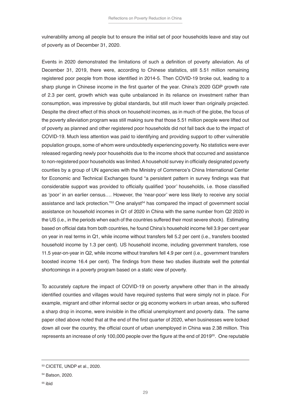vulnerability among all people but to ensure the initial set of poor households leave and stay out of poverty as of December 31, 2020.

Events in 2020 demonstrated the limitations of such a definition of poverty alleviation. As of December 31, 2019, there were, according to Chinese statistics, still 5.51 million remaining registered poor people from those identified in 2014-5. Then COVID-19 broke out, leading to a sharp plunge in Chinese income in the first quarter of the year. China's 2020 GDP growth rate of 2.3 per cent, growth which was quite unbalanced in its reliance on investment rather than consumption, was impressive by global standards, but still much lower than originally projected. Despite the direct effect of this shock on household incomes, as in much of the globe, the focus of the poverty alleviation program was still making sure that those 5.51 million people were lifted out of poverty as planned and other registered poor households did not fall back due to the impact of COVID-19. Much less attention was paid to identifying and providing support to other vulnerable population groups, some of whom were undoubtedly experiencing poverty. No statistics were ever released regarding newly poor households due to the income shock that occurred and assistance to non-registered poor households was limited. A household survey in officially designated poverty counties by a group of UN agencies with the Ministry of Commerce's China International Center for Economic and Technical Exchanges found "a persistent pattern in survey findings was that considerable support was provided to officially qualified 'poor' households, i.e. those classified as 'poor' in an earlier census…. However, the 'near-poor' were less likely to receive any social assistance and lack protection."53 One analyst<sup>54</sup> has compared the impact of government social assistance on household incomes in Q1 of 2020 in China with the same number from Q2 2020 in the US (i.e., in the periods when each of the countries suffered their most severe shock). Estimating based on official data from both countries, he found China's household income fell 3.9 per cent year on year in real terms in Q1, while income without transfers fell 5.2 per cent (i.e., transfers boosted household income by 1.3 per cent). US household income, including government transfers, rose 11.5 year-on-year in Q2, while income without transfers fell 4.9 per cent (i.e., government transfers boosted income 16.4 per cent). The findings from these two studies illustrate well the potential shortcomings in a poverty program based on a static view of poverty.

To accurately capture the impact of COVID-19 on poverty anywhere other than in the already identified counties and villages would have required systems that were simply not in place. For example, migrant and other informal sector or gig economy workers in urban areas, who suffered a sharp drop in income, were invisible in the official unemployment and poverty data. The same paper cited above noted that at the end of the first quarter of 2020, when businesses were locked down all over the country, the official count of urban unemployed in China was 2.38 million. This represents an increase of only 100,000 people over the figure at the end of 201955. One reputable

<sup>53</sup> CICETE, UNDP et al., 2020.

<sup>54</sup> Batson, 2020.

<sup>55</sup> ibid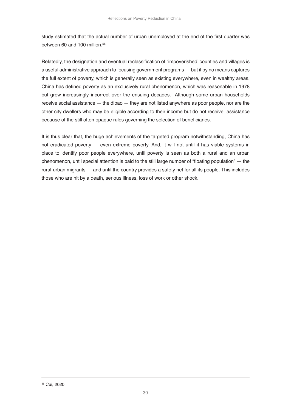study estimated that the actual number of urban unemployed at the end of the first quarter was between 60 and 100 million.<sup>56</sup>

Relatedly, the designation and eventual reclassification of "impoverished' counties and villages is a useful administrative approach to focusing government programs — but it by no means captures the full extent of poverty, which is generally seen as existing everywhere, even in wealthy areas. China has defined poverty as an exclusively rural phenomenon, which was reasonable in 1978 but grew increasingly incorrect over the ensuing decades. Although some urban households receive social assistance — the dibao — they are not listed anywhere as poor people, nor are the other city dwellers who may be eligible according to their income but do not receive assistance because of the still often opaque rules governing the selection of beneficiaries.

It is thus clear that, the huge achievements of the targeted program notwithstanding, China has not eradicated poverty — even extreme poverty. And, it will not until it has viable systems in place to identify poor people everywhere, until poverty is seen as both a rural and an urban phenomenon, until special attention is paid to the still large number of "floating population" — the rural-urban migrants — and until the country provides a safety net for all its people. This includes those who are hit by a death, serious illness, loss of work or other shock.

56 Cui, 2020.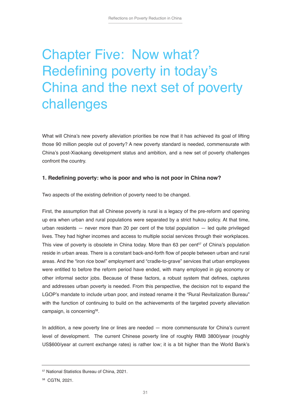## Chapter Five: Now what? Redefining poverty in today's China and the next set of poverty challenges

What will China's new poverty alleviation priorities be now that it has achieved its goal of lifting those 90 million people out of poverty? A new poverty standard is needed, commensurate with China's post-Xiaokang development status and ambition, and a new set of poverty challenges confront the country.

#### **1. Redefining poverty: who is poor and who is not poor in China now?**

Two aspects of the existing definition of poverty need to be changed.

First, the assumption that all Chinese poverty is rural is a legacy of the pre-reform and opening up era when urban and rural populations were separated by a strict hukou policy. At that time, urban residents — never more than 20 per cent of the total population — led quite privileged lives. They had higher incomes and access to multiple social services through their workplaces. This view of poverty is obsolete in China today. More than 63 per cent<sup>57</sup> of China's population reside in urban areas. There is a constant back-and-forth flow of people between urban and rural areas. And the "iron rice bowl" employment and "cradle-to-grave" services that urban employees were entitled to before the reform period have ended, with many employed in gig economy or other informal sector jobs. Because of these factors, a robust system that defines, captures and addresses urban poverty is needed. From this perspective, the decision not to expand the LGOP's mandate to include urban poor, and instead rename it the "Rural Revitalization Bureau" with the function of continuing to build on the achievements of the targeted poverty alleviation campaign, is concerning<sup>58</sup>.

In addition, a new poverty line or lines are needed — more commensurate for China's current level of development. The current Chinese poverty line of roughly RMB 3800/year (roughly US\$600/year at current exchange rates) is rather low; it is a bit higher than the World Bank's

<sup>57</sup> National Statistics Bureau of China, 2021.

<sup>58</sup> CGTN, 2021.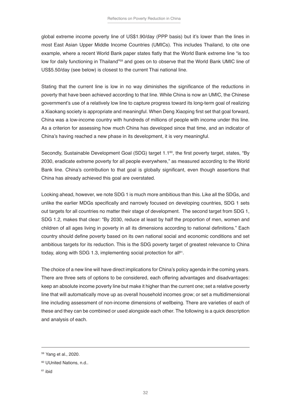global extreme income poverty line of US\$1.90/day (PPP basis) but it's lower than the lines in most East Asian Upper Middle Income Countries (UMICs). This includes Thailand, to cite one example, where a recent World Bank paper states flatly that the World Bank extreme line "is too low for daily functioning in Thailand"<sup>59</sup> and goes on to observe that the World Bank UMIC line of US\$5.50/day (see below) is closest to the current Thai national line.

Stating that the current line is low in no way diminishes the significance of the reductions in poverty that have been achieved according to that line. While China is now an UMIC, the Chinese government's use of a relatively low line to capture progress toward its long-term goal of realizing a Xiaokang society is appropriate and meaningful. When Deng Xiaoping first set that goal forward, China was a low-income country with hundreds of millions of people with income under this line. As a criterion for assessing how much China has developed since that time, and an indicator of China's having reached a new phase in its development, it is very meaningful.

Secondly, Sustainable Development Goal (SDG) target 1.1<sup>60</sup>, the first poverty target, states, "By 2030, eradicate extreme poverty for all people everywhere," as measured according to the World Bank line. China's contribution to that goal is globally significant, even though assertions that China has already achieved this goal are overstated.

Looking ahead, however, we note SDG 1 is much more ambitious than this. Like all the SDGs, and unlike the earlier MDGs specifically and narrowly focused on developing countries, SDG 1 sets out targets for all countries no matter their stage of development. The second target from SDG 1, SDG 1.2, makes that clear: "By 2030, reduce at least by half the proportion of men, women and children of all ages living in poverty in all its dimensions according to national definitions." Each country should define poverty based on its own national social and economic conditions and set ambitious targets for its reduction. This is the SDG poverty target of greatest relevance to China today, along with SDG 1.3, implementing social protection for all<sup>61</sup>.

The choice of a new line will have direct implications for China's policy agenda in the coming years. There are three sets of options to be considered, each offering advantages and disadvantages: keep an absolute income poverty line but make it higher than the current one; set a relative poverty line that will automatically move up as overall household incomes grow; or set a multidimensional line including assessment of non-income dimensions of wellbeing. There are varieties of each of these and they can be combined or used alongside each other. The following is a quick description and analysis of each.

<sup>59</sup> Yang et al., 2020.

<sup>60</sup> UUnited Nations, n.d..

 $61$  ihid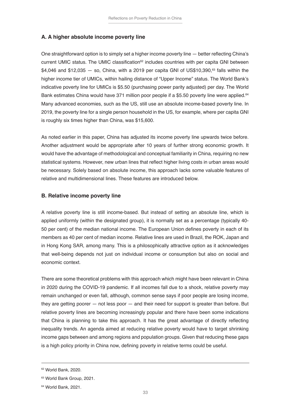#### **A. A higher absolute income poverty line**

One straightforward option is to simply set a higher income poverty line — better reflecting China's current UMIC status. The UMIC classification $62$  includes countries with per capita GNI between  $$4,046$  and  $$12,035 - so$ , China, with a 2019 per capita GNI of US\$10,390,<sup>63</sup> falls within the higher income tier of UMICs, within hailing distance of "Upper Income" status. The World Bank's indicative poverty line for UMICs is \$5.50 (purchasing power parity adjusted) per day. The World Bank estimates China would have 371 million poor people if a \$5.50 poverty line were applied.<sup>64</sup> Many advanced economies, such as the US, still use an absolute income-based poverty line. In 2019, the poverty line for a single person household in the US, for example, where per capita GNI is roughly six times higher than China, was \$15,600.

As noted earlier in this paper, China has adjusted its income poverty line upwards twice before. Another adjustment would be appropriate after 10 years of further strong economic growth. It would have the advantage of methodological and conceptual familiarity in China, requiring no new statistical systems. However, new urban lines that reflect higher living costs in urban areas would be necessary. Solely based on absolute income, this approach lacks some valuable features of relative and multidimensional lines. These features are introduced below.

#### **B. Relative income poverty line**

A relative poverty line is still income-based. But instead of setting an absolute line, which is applied uniformly (within the designated group), it is normally set as a percentage (typically 40- 50 per cent) of the median national income. The European Union defines poverty in each of its members as 40 per cent of median income. Relative lines are used in Brazil, the ROK, Japan and in Hong Kong SAR, among many. This is a philosophically attractive option as it acknowledges that well-being depends not just on individual income or consumption but also on social and economic context.

There are some theoretical problems with this approach which might have been relevant in China in 2020 during the COVID-19 pandemic. If all incomes fall due to a shock, relative poverty may remain unchanged or even fall, although, common sense says if poor people are losing income, they are getting poorer — not less poor — and their need for support is greater than before. But relative poverty lines are becoming increasingly popular and there have been some indications that China is planning to take this approach. It has the great advantage of directly reflecting inequality trends. An agenda aimed at reducing relative poverty would have to target shrinking income gaps between and among regions and population groups. Given that reducing these gaps is a high policy priority in China now, defining poverty in relative terms could be useful.

<sup>62</sup> World Bank, 2020.

<sup>63</sup> World Bank Group, 2021.

<sup>64</sup> World Bank, 2021.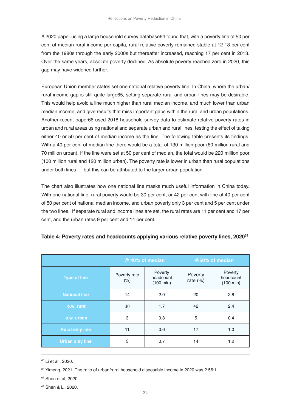A 2020 paper using a large household survey database64 found that, with a poverty line of 50 per cent of median rural income per capita, rural relative poverty remained stable at 12-13 per cent from the 1980s through the early 2000s but thereafter increased, reaching 17 per cent in 2013. Over the same years, absolute poverty declined. As absolute poverty reached zero in 2020, this gap may have widened further.

European Union member states set one national relative poverty line. In China, where the urban/ rural income gap is still quite large65, setting separate rural and urban lines may be desirable. This would help avoid a line much higher than rural median income, and much lower than urban median income, and give results that miss important gaps within the rural and urban populations. Another recent paper66 used 2018 household survey data to estimate relative poverty rates in urban and rural areas using national and separate urban and rural lines, testing the effect of taking either 40 or 50 per cent of median income as the line. The following table presents its findings. With a 40 per cent of median line there would be a total of 130 million poor (60 million rural and 70 million urban). If the line were set at 50 per cent of median, the total would be 220 million poor (100 million rural and 120 million urban). The poverty rate is lower in urban than rural populations under both lines — but this can be attributed to the larger urban population.

The chart also illustrates how one national line masks much useful information in China today. With one national line, rural poverty would be 30 per cent, or 42 per cent with line of 40 per cent of 50 per cent of national median income, and urban poverty only 3 per cent and 5 per cent under the two lines. If separate rural and income lines are set, the rural rates are 11 per cent and 17 per cent, and the urban rates 9 per cent and 14 per cent.

|                        | @ 40% of median      |                                     | @50% of median         |                                     |
|------------------------|----------------------|-------------------------------------|------------------------|-------------------------------------|
| <b>Type of line</b>    | Poverty rate<br>(% ) | Poverty<br>headcount<br>$(100$ mln) | Poverty<br>rate $(\%)$ | Poverty<br>headcount<br>$(100$ mln) |
| <b>National line</b>   | 14                   | 2.0                                 | 20                     | 2.8                                 |
| o.w. rural             | 30                   | 1.7                                 | 42                     | 2.4                                 |
| o.w. urban             | 3                    | 0.3                                 | 5                      | 0.4                                 |
| <b>Rural only line</b> | 11                   | 0.6                                 | 17                     | 1.0                                 |
| <b>Urban only line</b> | 9                    | 0.7                                 | 14                     | 1.2                                 |

#### **Table 4: Poverty rates and headcounts applying various relative poverty lines, 202068**

<sup>65</sup> Li et al., 2020.

68 Shen & Li, 2020.

<sup>&</sup>lt;sup>66</sup> Yimeng, 2021. The ratio of urban/rural household disposable income in 2020 was 2.56:1.

<sup>67</sup> Shen et al, 2020.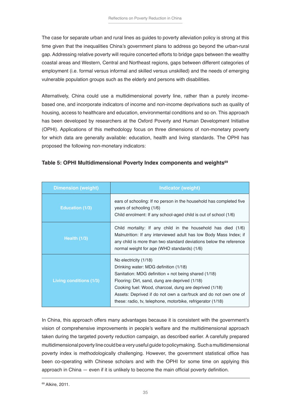The case for separate urban and rural lines as guides to poverty alleviation policy is strong at this time given that the inequalities China's government plans to address go beyond the urban-rural gap. Addressing relative poverty will require concerted efforts to bridge gaps between the wealthy coastal areas and Western, Central and Northeast regions, gaps between different categories of employment (i.e. formal versus informal and skilled versus unskilled) and the needs of emerging vulnerable population groups such as the elderly and persons with disabilities.

Alternatively, China could use a multidimensional poverty line, rather than a purely incomebased one, and incorporate indicators of income and non-income deprivations such as quality of housing, access to healthcare and education, environmental conditions and so on. This approach has been developed by researchers at the Oxford Poverty and Human Development Initiative (OPHI). Applications of this methodology focus on three dimensions of non-monetary poverty for which data are generally available: education, health and living standards. The OPHI has proposed the following non-monetary indicators:

| <b>Dimension (weight)</b>      | <b>Indicator (weight)</b>                                                                                                                                                                                                                                                                                                                                               |
|--------------------------------|-------------------------------------------------------------------------------------------------------------------------------------------------------------------------------------------------------------------------------------------------------------------------------------------------------------------------------------------------------------------------|
| <b>Education (1/3)</b>         | ears of schooling: If no person in the household has completed five<br>years of schooling (1/6)<br>Child enrolment: If any school-aged child is out of school (1/6)                                                                                                                                                                                                     |
| Health $(1/3)$                 | Child mortality: If any child in the household has died (1/6)<br>Malnutrition: If any interviewed adult has low Body Mass Index; if<br>any child is more than two standard deviations below the reference<br>normal weight for age (WHO standards) (1/6)                                                                                                                |
| <b>Living conditions (1/3)</b> | No electricity (1/18)<br>Drinking water: MDG definition (1/18)<br>Sanitation: MDG definition $+$ not being shared (1/18)<br>Flooring: Dirt, sand, dung are deprived (1/18)<br>Cooking fuel: Wood, charcoal, dung are deprived (1/18)<br>Assets: Deprived if do not own a car/truck and do not own one of<br>these: radio, tv, telephone, motorbike, refrigerator (1/18) |

#### **Table 5: OPHI Multidimensional Poverty Index components and weights<sup>69</sup>**

In China, this approach offers many advantages because it is consistent with the government's vision of comprehensive improvements in people's welfare and the multidimensional approach taken during the targeted poverty reduction campaign, as described earlier. A carefully prepared multidimensional poverty line could be a very useful guide to policymaking. Such a multidimensional poverty index is methodologically challenging. However, the government statistical office has been co-operating with Chinese scholars and with the OPHI for some time on applying this approach in China — even if it is unlikely to become the main official poverty definition.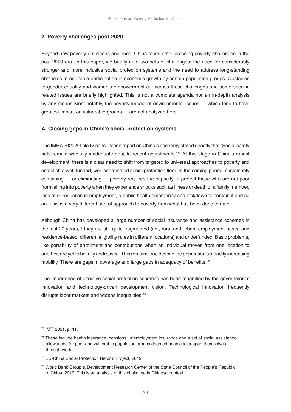#### **2. Poverty challenges post-2020**

Beyond new poverty definitions and lines, China faces other pressing poverty challenges in the post-2020 era. In this paper, we briefly note two sets of challenges: the need for considerably stronger and more inclusive social protection systems and the need to address long-standing obstacles to equitable participation in economic growth by certain population groups. Obstacles to gender equality and women's empowerment cut across these challenges and some specific related issues are briefly highlighted. This is not a complete agenda nor an in-depth analysis by any means Most notably, the poverty impact of environmental issues — which tend to have greatest impact on vulnerable groups — are not analyzed here.

#### **A. Closing gaps in China's social protection systems**

The IMF's 2020 Article IV consultation report on China's economy stated directly that "Social safety nets remain woefully inadequate despite recent adjustments."70 At this stage in China's robust development, there is a clear need to shift from targeted to universal approaches to poverty and establish a well-funded, well-coordinated social protection floor. In the coming period, sustainably containing — or eliminating — poverty requires the capacity to protect those who are not poor from falling into poverty when they experience shocks such as illness or death of a family member, loss of or reduction in employment, a public health emergency and lockdown to contain it and so on. This is a very different sort of approach to poverty from what has been done to date.

Although China has developed a large number of social insurance and assistance schemes in the last 20 years,<sup>71</sup> they are still quite fragmented (i.e., rural and urban, employment-based and residence-based, different eligibility rules in different locations) and underfunded. Basic problems, like portability of enrollment and contributions when an individual moves from one location to another, are yet to be fully addressed. This remains true despite the population's steadily increasing mobility. There are gaps in coverage and large gaps in adequacy of benefits.<sup>72</sup>

The importance of effective social protection schemes has been magnified by the government's innovation and technology-driven development vision. Technological innovation frequently disrupts labor markets and widens inequalities.<sup>73</sup>

<sup>70</sup> IMF, 2021, p. 11.

<sup>71</sup> These include health insurance, pensions, unemployment insurance and a set of social assistance allowances for poor and vulnerable population groups deemed unable to support themselves through work.

<sup>72</sup> EU-China Social Protection Reform Project, 2019.

<sup>73</sup> World Bank Group & Development Research Center of the State Council of the People's Republic of China, 2019. This is an analysis of this challenge in Chinese context.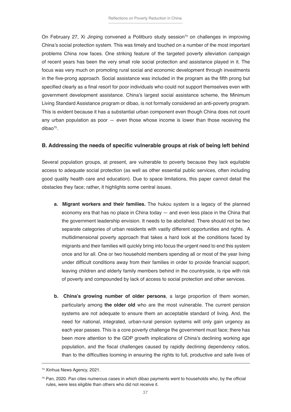On February 27, Xi Jinping convened a Politburo study session<sup>74</sup> on challenges in improving China's social protection system. This was timely and touched on a number of the most important problems China now faces. One striking feature of the targeted poverty alleviation campaign of recent years has been the very small role social protection and assistance played in it. The focus was very much on promoting rural social and economic development through investments in the five-prong approach. Social assistance was included in the program as the fifth prong but specified clearly as a final resort for poor individuals who could not support themselves even with government development assistance. China's largest social assistance scheme, the Minimum Living Standard Assistance program or dibao, is not formally considered an anti-poverty program. This is evident because it has a substantial urban component even though China does not count any urban population as poor — even those whose income is lower than those receiving the dibao<sup>75</sup>.

#### **B. Addressing the needs of specific vulnerable groups at risk of being left behind**

Several population groups, at present, are vulnerable to poverty because they lack equitable access to adequate social protection (as well as other essential public services, often including good quality health care and education). Due to space limitations, this paper cannot detail the obstacles they face; rather, it highlights some central issues.

- **a. Migrant workers and their families.** The hukou system is a legacy of the planned economy era that has no place in China today — and even less place in the China that the government leadership envision. It needs to be abolished. There should not be two separate categories of urban residents with vastly different opportunities and rights. A multidimensional poverty approach that takes a hard look at the conditions faced by migrants and their families will quickly bring into focus the urgent need to end this system once and for all. One or two household members spending all or most of the year living under difficult conditions away from their families in order to provide financial support, leaving children and elderly family members behind in the countryside, is ripe with risk of poverty and compounded by lack of access to social protection and other services.
- **b. China's growing number of older persons**, a large proportion of them women, particularly among **the older old** who are the most vulnerable. The current pension systems are not adequate to ensure them an acceptable standard of living. And, the need for national, integrated, urban-rural pension systems will only gain urgency as each year passes. This is a core poverty challenge the government must face; there has been more attention to the GDP growth implications of China's declining working age population, and the fiscal challenges caused by rapidly declining dependency ratios, than to the difficulties looming in ensuring the rights to full, productive and safe lives of

<sup>74</sup> Xinhua News Agency, 2021.

 $75$  Pan, 2020. Pan cites numerous cases in which dibao payments went to households who, by the official rules, were less eligible than others who did not receive it.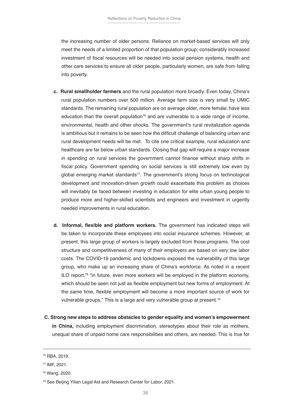the increasing number of older persons. Reliance on market-based services will only meet the needs of a limited proportion of that population group; considerably increased investment of fiscal resources will be needed into social pension systems, health and other care services to ensure all older people, particularly women, are safe from falling into poverty.

- **c. Rural smallholder farmers** and the rural population more broadly. Even today, China's rural population numbers over 500 million. Average farm size is very small by UMIC standards. The remaining rural population are on average older, more female, have less education than the overall population<sup>76</sup> and are vulnerable to a wide range of income, environmental, health and other shocks. The government's rural revitalization agenda is ambitious but it remains to be seen how the difficult challenge of balancing urban and rural development needs will be met. To cite one critical example, rural education and healthcare are far below urban standards. Closing that gap will require a major increase in spending on rural services the government cannot finance without sharp shifts in fiscal policy. Government spending on social services is still extremely low even by global emerging market standards<sup>77</sup>. The government's strong focus on technological development and innovation-driven growth could exacerbate this problem as choices will inevitably be faced between investing in education for elite urban young people to produce more and higher-skilled scientists and engineers and investment in urgently needed improvements in rural education.
- **d. Informal, flexible and platform workers.** The government has indicated steps will be taken to incorporate these employees into social insurance schemes. However, at present, this large group of workers is largely excluded from those programs. The cost structure and competitiveness of many of their employers are based on very low labor costs. The COVID-19 pandemic and lockdowns exposed the vulnerability of this large group, who make up an increasing share of China's workforce. As noted in a recent ILO report,<sup>78</sup> "in future, even more workers will be employed in the platform economy, which should be seen not just as flexible employment but new forms of employment. At the same time, flexible employment will become a more important source of work for vulnerable groups." This is a large and very vulnerable group at present.<sup>79</sup>
- **C. Strong new steps to address obstacles to gender equality and women's empowerment in China,** including employment discrimination, stereotypes about their role as mothers, unequal share of unpaid home care responsibilities and others, are needed. This is true for

<sup>76</sup> RBA, 2019.

<sup>77</sup> IMF, 2021.

<sup>78</sup> Wang, 2020.

<sup>79</sup> See Beijing Yilian Legal Aid and Research Center for Labor, 2021.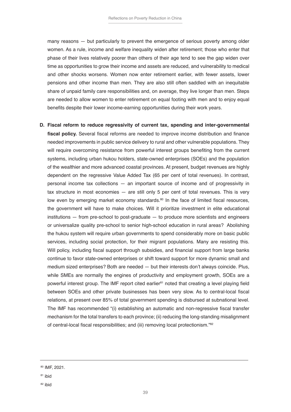many reasons — but particularly to prevent the emergence of serious poverty among older women. As a rule, income and welfare inequality widen after retirement; those who enter that phase of their lives relatively poorer than others of their age tend to see the gap widen over time as opportunities to grow their income and assets are reduced, and vulnerability to medical and other shocks worsens. Women now enter retirement earlier, with fewer assets, lower pensions and other income than men. They are also still often saddled with an inequitable share of unpaid family care responsibilities and, on average, they live longer than men. Steps are needed to allow women to enter retirement on equal footing with men and to enjoy equal benefits despite their lower income-earning opportunities during their work years.

**D. Fiscal reform to reduce regressivity of current tax, spending and inter-governmental fiscal policy.** Several fiscal reforms are needed to improve income distribution and finance needed improvements in public service delivery to rural and other vulnerable populations. They will require overcoming resistance from powerful interest groups benefiting from the current systems, including urban hukou holders, state-owned enterprises (SOEs) and the population of the wealthier and more advanced coastal provinces. At present, budget revenues are highly dependent on the regressive Value Added Tax (65 per cent of total revenues). In contrast, personal income tax collections — an important source of income and of progressivity in tax structure in most economies — are still only 5 per cent of total revenues. This is very low even by emerging market economy standards.<sup>80</sup> In the face of limited fiscal resources, the government will have to make choices. Will it prioritize investment in elite educational institutions — from pre-school to post-graduate — to produce more scientists and engineers or universalize quality pre-school to senior high-school education in rural areas? Abolishing the hukou system will require urban governments to spend considerably more on basic public services, including social protection, for their migrant populations. Many are resisting this. Will policy, including fiscal support through subsidies, and financial support from large banks continue to favor state-owned enterprises or shift toward support for more dynamic small and medium sized enterprises? Both are needed — but their interests don't always coincide. Plus, while SMEs are normally the engines of productivity and employment growth, SOEs are a powerful interest group. The IMF report cited earlier<sup>81</sup> noted that creating a level playing field between SOEs and other private businesses has been very slow. As to central-local fiscal relations, at present over 85% of total government spending is disbursed at subnational level. The IMF has recommended "(i) establishing an automatic and non-regressive fiscal transfer mechanism for the total transfers to each province; (ii) reducing the long-standing misalignment of central-local fiscal responsibilities; and (iii) removing local protectionism."82

<sup>80</sup> IMF, 2021.

<sup>81</sup> ibid

<sup>82</sup> ibid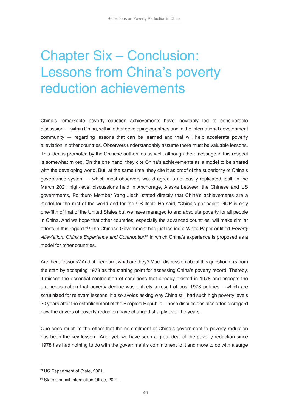### Chapter Six – Conclusion: Lessons from China's poverty reduction achievements

China's remarkable poverty-reduction achievements have inevitably led to considerable discussion — within China, within other developing countries and in the international development community — regarding lessons that can be learned and that will help accelerate poverty alleviation in other countries. Observers understandably assume there must be valuable lessons. This idea is promoted by the Chinese authorities as well, although their message in this respect is somewhat mixed. On the one hand, they cite China's achievements as a model to be shared with the developing world. But, at the same time, they cite it as proof of the superiority of China's governance system — which most observers would agree is not easily replicated. Still, in the March 2021 high-level discussions held in Anchorage, Alaska between the Chinese and US governments, Politburo Member Yang Jiechi stated directly that China's achievements are a model for the rest of the world and for the US itself. He said, "China's per-capita GDP is only one-fifth of that of the United States but we have managed to end absolute poverty for all people in China. And we hope that other countries, especially the advanced countries, will make similar efforts in this regard."83 The Chinese Government has just issued a White Paper entitled *Poverty*  Alleviation: China's Experience and Contribution $^{84}$  in which China's experience is proposed as a model for other countries.

Are there lessons? And, if there are, what are they? Much discussion about this question errs from the start by accepting 1978 as the starting point for assessing China's poverty record. Thereby, it misses the essential contribution of conditions that already existed in 1978 and accepts the erroneous notion that poverty decline was entirely a result of post-1978 policies —which are scrutinized for relevant lessons. It also avoids asking why China still had such high poverty levels 30 years after the establishment of the People's Republic. These discussions also often disregard how the drivers of poverty reduction have changed sharply over the years.

One sees much to the effect that the commitment of China's government to poverty reduction has been the key lesson. And, yet, we have seen a great deal of the poverty reduction since 1978 has had nothing to do with the government's commitment to it and more to do with a surge

<sup>83</sup> US Department of State, 2021.

<sup>84</sup> State Council Information Office, 2021.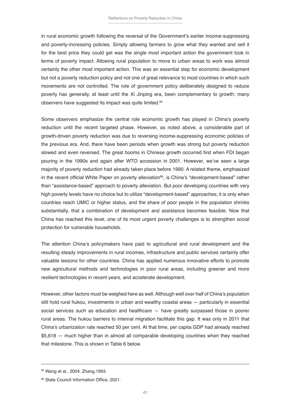in rural economic growth following the reversal of the Government's earlier income-suppressing and poverty-increasing policies. Simply allowing farmers to grow what they wanted and sell it for the best price they could get was the single most important action the government took in terms of poverty impact. Allowing rural population to move to urban areas to work was almost certainly the other most important action. This was an essential step for economic development but not a poverty reduction policy and not one of great relevance to most countries in which such movements are not controlled. The role of government policy deliberately designed to reduce poverty has generally, at least until the Xi Jinping era, been complementary to growth; many observers have suggested its impact was quite limited.85

Some observers emphasize the central role economic growth has played in China's poverty reduction until the recent targeted phase. However, as noted above, a considerable part of growth-driven poverty reduction was due to reversing income-suppressing economic policies of the previous era. And, there have been periods when growth was strong but poverty reduction slowed and even reversed. The great booms in Chinese growth occurred first when FDI began pouring in the 1990s and again after WTO accession in 2001. However, we've seen a large majority of poverty reduction had already taken place before 1990. A related theme, emphasized in the recent official White Paper on poverty alleviation<sup>86</sup>, is China's "development-based" rather than "assistance-based" approach to poverty alleviation. But poor developing countries with very high poverty levels have no choice but to utilize "development-based" approaches; it is only when countries reach UMIC or higher status, and the share of poor people in the population shrinks substantially, that a combination of development and assistance becomes feasible. Now that China has reached this level, one of its most urgent poverty challenges is to strengthen social protection for vulnerable households.

The attention China's policymakers have paid to agricultural and rural development and the resulting steady improvements in rural incomes, infrastructure and public services certainly offer valuable lessons for other countries. China has applied numerous innovative efforts to promote new agricultural methods and technologies in poor rural areas, including greener and more resilient technologies in recent years, and accelerate development.

However, other factors must be weighed here as well. Although well over half of China's population still hold rural hukou, investments in urban and wealthy coastal areas — particularly in essential social services such as education and healthcare — have greatly surpassed those in poorer rural areas. The hukou barriers to internal migration facilitate this gap. It was only in 2011 that China's urbanization rate reached 50 per cent. At that time, per capita GDP had already reached \$5,618 — much higher than in almost all comparable developing countries when they reached that milestone. This is shown in Table 6 below.

<sup>85</sup> Wang et al., 2004. Zhang, 1993.

<sup>86</sup> State Council Information Office, 2021.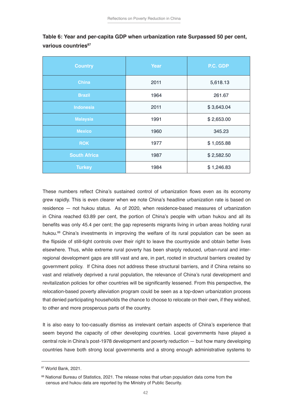| <b>Country</b>      | Year | P.C. GDP   |
|---------------------|------|------------|
| <b>China</b>        | 2011 | 5,618.13   |
| <b>Brazil</b>       | 1964 | 261.67     |
| <b>Indonesia</b>    | 2011 | \$3,643.04 |
| <b>Malaysia</b>     | 1991 | \$2,653.00 |
| <b>Mexico</b>       | 1960 | 345.23     |
| <b>ROK</b>          | 1977 | \$1,055.88 |
| <b>South Africa</b> | 1987 | \$2,582.50 |
| <b>Turkey</b>       | 1984 | \$1,246.83 |

**Table 6: Year and per-capita GDP when urbanization rate Surpassed 50 per cent, various countries<sup>87</sup>**

These numbers reflect China's sustained control of urbanization flows even as its economy grew rapidly. This is even clearer when we note China's headline urbanization rate is based on residence — not hukou status. As of 2020, when residence-based measures of urbanization in China reached 63.89 per cent, the portion of China's people with urban hukou and all its benefits was only 45.4 per cent; the gap represents migrants living in urban areas holding rural hukou.<sup>88</sup> China's investments in improving the welfare of its rural population can be seen as the flipside of still-tight controls over their right to leave the countryside and obtain better lives elsewhere. Thus, while extreme rural poverty has been sharply reduced, urban-rural and interregional development gaps are still vast and are, in part, rooted in structural barriers created by government policy. If China does not address these structural barriers, and if China retains so vast and relatively deprived a rural population, the relevance of China's rural development and revitalization policies for other countries will be significantly lessened. From this perspective, the relocation-based poverty alleviation program could be seen as a top-down urbanization process that denied participating households the chance to choose to relocate on their own, if they wished, to other and more prosperous parts of the country.

It is also easy to too-casually dismiss as irrelevant certain aspects of China's experience that seem beyond the capacity of other developing countries. Local governments have played a central role in China's post-1978 development and poverty reduction — but how many developing countries have both strong local governments and a strong enough administrative systems to

<sup>87</sup> World Bank, 2021.

<sup>88</sup> National Bureau of Statistics, 2021. The release notes that urban population data come from the census and hukou data are reported by the Ministry of Public Security.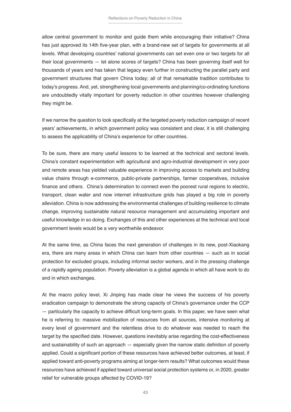allow central government to monitor and guide them while encouraging their initiative? China has just approved its 14th five-year plan, with a brand-new set of targets for governments at all levels. What developing countries' national governments can set even one or two targets for all their local governments — let alone scores of targets? China has been governing itself well for thousands of years and has taken that legacy even further in constructing the parallel party and government structures that govern China today; all of that remarkable tradition contributes to today's progress. And, yet, strengthening local governments and planning/co-ordinating functions are undoubtedly vitally important for poverty reduction in other countries however challenging they might be.

If we narrow the question to look specifically at the targeted poverty reduction campaign of recent years' achievements, in which government policy was consistent and clear, it is still challenging to assess the applicability of China's experience for other countries.

To be sure, there are many useful lessons to be learned at the technical and sectoral levels. China's constant experimentation with agricultural and agro-industrial development in very poor and remote areas has yielded valuable experience in improving access to markets and building value chains through e-commerce, public-private partnerships, farmer cooperatives, inclusive finance and others. China's determination to connect even the poorest rural regions to electric, transport, clean water and now internet infrastructure grids has played a big role in poverty alleviation. China is now addressing the environmental challenges of building resilience to climate change, improving sustainable natural resource management and accumulating important and useful knowledge in so doing. Exchanges of this and other experiences at the technical and local government levels would be a very worthwhile endeavor.

At the same time, as China faces the next generation of challenges in its new, post-Xiaokang era, there are many areas in which China can learn from other countries — such as in social protection for excluded groups, including informal sector workers, and in the pressing challenge of a rapidly ageing population. Poverty alleviation is a global agenda in which all have work to do and in which exchanges.

At the macro policy level, Xi Jinping has made clear he views the success of his poverty eradication campaign to demonstrate the strong capacity of China's governance under the CCP — particularly the capacity to achieve difficult long-term goals. In this paper, we have seen what he is referring to: massive mobilization of resources from all sources, intensive monitoring at every level of government and the relentless drive to do whatever was needed to reach the target by the specified date. However, questions inevitably arise regarding the cost-effectiveness and sustainability of such an approach — especially given the narrow static definition of poverty applied. Could a significant portion of these resources have achieved better outcomes, at least, if applied toward anti-poverty programs aiming at longer-term results? What outcomes would these resources have achieved if applied toward universal social protection systems or, in 2020, greater relief for vulnerable groups affected by COVID-19?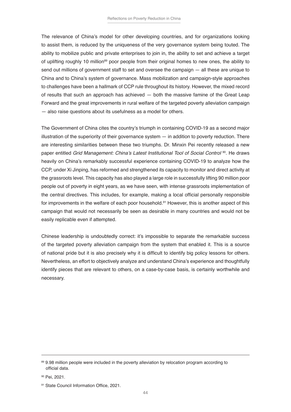The relevance of China's model for other developing countries, and for organizations looking to assist them, is reduced by the uniqueness of the very governance system being touted. The ability to mobilize public and private enterprises to join in, the ability to set and achieve a target of uplifting roughly 10 million<sup>89</sup> poor people from their original homes to new ones, the ability to send out millions of government staff to set and oversee the campaign — all these are unique to China and to China's system of governance. Mass mobilization and campaign-style approaches to challenges have been a hallmark of CCP rule throughout its history. However, the mixed record of results that such an approach has achieved — both the massive famine of the Great Leap Forward and the great improvements in rural welfare of the targeted poverty alleviation campaign — also raise questions about its usefulness as a model for others.

The Government of China cites the country's triumph in containing COVID-19 as a second major illustration of the superiority of their governance system — in addition to poverty reduction. There are interesting similarities between these two triumphs. Dr. Minxin Pei recently released a new paper entitled Grid Management: China's Latest Institutional Tool of Social Control <sup>90</sup>. He draws heavily on China's remarkably successful experience containing COVID-19 to analyze how the CCP, under Xi Jinping, has reformed and strengthened its capacity to monitor and direct activity at the grassroots level. This capacity has also played a large role in successfully lifting 90 million poor people out of poverty in eight years, as we have seen, with intense grassroots implementation of the central directives. This includes, for example, making a local official personally responsible for improvements in the welfare of each poor household.<sup>91</sup> However, this is another aspect of this campaign that would not necessarily be seen as desirable in many countries and would not be easily replicable even if attempted.

Chinese leadership is undoubtedly correct: it's impossible to separate the remarkable success of the targeted poverty alleviation campaign from the system that enabled it. This is a source of national pride but it is also precisely why it is difficult to identify big policy lessons for others. Nevertheless, an effort to objectively analyze and understand China's experience and thoughtfully identify pieces that are relevant to others, on a case-by-case basis, is certainly worthwhile and necessary.

<sup>89 9.98</sup> million people were included in the poverty alleviation by relocation program according to official data.

<sup>90</sup> Pei, 2021.

<sup>91</sup> State Council Information Office, 2021.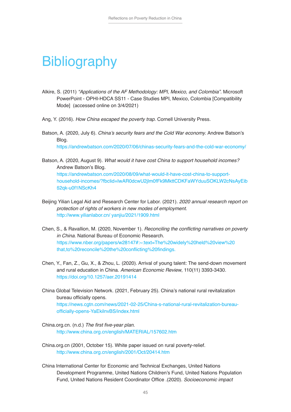### **Bibliography**

- Alkire, S. (2011) "Applications of the AF Methodology: MPI, Mexico, and Colombia". Microsoft PowerPoint - OPHI-HDCA SS11 - Case Studies MPI, Mexico, Colombia [Compatibility Mode] (accessed online on 3/4/2021)
- Ang, Y. (2016). *How China escaped the poverty trap*. Cornell University Press.
- Batson, A. (2020, July 6). China's security fears and the Cold War economy. Andrew Batson's Blog.

https://andrewbatson.com/2020/07/06/chinas-security-fears-and-the-cold-war-economy/

- Batson, A. (2020, August 9). What would it have cost China to support household incomes? Andrew Batson's Blog. https://andrewbatson.com/2020/08/09/what-would-it-have-cost-china-to-support[household-incomes/?fbclid=IwAR0dcwU2jlm0fFk9MkttCDKFaWYduuSOKLW2cNsAyEib](https://andrewbatson.com/2020/08/09/what-would-it-have-cost-china-to-support-household-incomes/?fbclid=IwAR0dcwU2jlm0fFk9MkttCDKFaWYduuSOKLW2cNsAyEib62qk-u0f1NScKh4) 62qk-u0f1NScKh4
- Beijing Yilian Legal Aid and Research Center for Labor. (2021). 2020 annual research report on protection of rights of workers in new modes of employment. [http://www.yilianlabor.cn/ yanjiu/2021/1909.html](http://www.yilianlabor.cn/yanjiu/2021/1909.html)
- Chen, S., & Ravallion, M. (2020, November 1). Reconciling the conflicting narratives on poverty *in China*. National Bureau of Economic Research. [https://www.nber.org/papers/w28147#:~:text=The%20widely%20held%20view%20](https://www.nber.org/papers/w28147#:~:text=The%20widely%20held%20view%20 that,to%20reconcile%20the%20conflicting%20findings.) that,to%20reconcile%20the%20conflicting%20findings.
- Chen, Y., Fan, Z., Gu, X., & Zhou, L. (2020). Arrival of young talent: The send-down movement and rural education in China. *American Economic Review*, 110(11) 3393-3430. https://doi.org/10.1257/aer.20191414
- China Global Television Network. (2021, February 25). China's national rural revitalization bureau officially opens. https://news.cgtn.com/news/2021-02-25/China-s-national-rural-revitalization-bureauofficially-opens-YaEkilnvBS/index.html
- China.org.cn. (n.d.) The first five-year plan. http://www.china.org.cn/english/MATERIAL/157602.htm
- China.org.cn (2001, October 15). White paper issued on rural poverty-relief. http://www.china.org.cn/english/2001/Oct/20414.htm
- China International Center for Economic and Technical Exchanges, United Nations Development Programme, United Nations Children's Fund, United Nations Population Fund, United Nations Resident Coordinator Office .(2020). Socioeconomic impact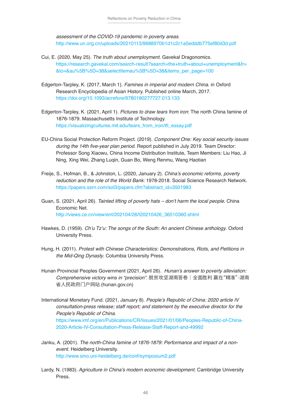assessment of the COVID-19 pandemic in poverty areas. http://www.un.org.cn/uploads/20210113/9688970b1d1c2c1a5edddb775ef80d3d.pdf

- Cui, E. (2020, May 25). The truth about unemployment. Gavekal Dragonomics. [https://research.gavekal.com/search-result?search=the+truth+about+unemployment&fr=](https://research.gavekal.com/search-result?search=the+truth+about+unemployment&fr= &to=&au%5B%5D=38&selectItemau%5B%5D=38&items_per_page=100) &to=&au%5B%5D=38&selectItemau%5B%5D=38&items\_per\_page=100
- Edgerton-Tarpley, K. (2017, March 1). Famines in imperial and modern China. in Oxford Research Encyclopedia of Asian History. Published online March, 2017. https://doi.org/10.1093/acrefore/9780190277727.013.133
- Edgerton-Tarpley, K. (2021, April 1). *Pictures to draw tears from iron*: The north China famine of 1876-1879. Massachusetts Institute of Technology. https://visualizingcultures.mit.edu/tears\_from\_iron/tfi\_essay.pdf
- EU-China Social Protection Reform Project. (2019). *Component One: Key social security issues*  during the 14th five-year plan period. Report published in July 2019. Team Director: Professor Song Xiaowu, China Income Distribution Institute, Team Members: Liu Hao, Ji Ning, Xing Wei, Zhang Luqin, Guan Bo, Weng Renmu, Wang Haotian
- Freije, S., Hofman, B., & Johnston, L. (2020, January 2). China's economic reforms, poverty reduction and the role of the World Bank: 1978-2018. Social Science Research Network. https://papers.ssrn.com/sol3/papers.cfm?abstract\_id=3501983
- Guan, S. (2021, April 26). Tainted lifting of poverty hats don't harm the local people. China Economic Net. http://views.ce.cn/view/ent/202104/26/t20210426\_36510360.shtml
- Hawkes, D. (1959). Ch'u Tz'u: The songs of the South: An ancient Chinese anthology. Oxford University Press.
- Hung, H. (2011). Protest with Chinese Characteristics: Demonstrations, Riots, and Petitions in *the Mid-Qing Dynasty*. Columbia University Press.
- Hunan Provincial Peoples Government (2021, April 26). Hunan's answer to poverty alleviation: Comprehensive victory wins in "precision". 脱贫攻坚湖南答卷|全面胜利 赢在"精准"-湖南 省人民政府门户网站 (hunan.gov.cn)
- International Monetary Fund. (2021, January 8). People's Republic of China: 2020 article IV consultation-press release; staff report; and statement by the executive director for the People's Republic of China. https://www.imf.org/en/Publications/CR/Issues/2021/01/06/Peoples-Republic-of-China-2020-Article-IV-Consultation-Press-Release-Staff-Report-and-49992
- Janku, A. (2001). The north-China famine of 1876-1879: Performance and impact of a nonevent. Heidelberg University. http://www.sino.uni-heidelberg.de/conf/symposium2.pdf
- Lardy, N. (1983). Agriculture in China's modern economic development. Cambridge University Press.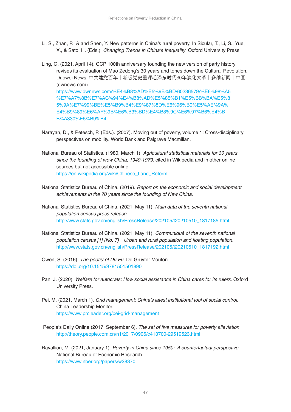- Li, S., Zhan, P., & and Shen, Y. New patterns in China's rural poverty. In Sicular, T., Li, S., Yue, X., & Sato, H. (Eds.), Changing Trends in China's Inequality. Oxford University Press.
- Ling, G. (2021, April 14). CCP 100th anniversary founding the new version of party history revises its evaluation of Mao Zedong's 30 years and tones down the Cultural Revolution. Duowei News. 中共建党百年|新版党史重评毛泽东时代30年淡化文革|多维新闻|中国 (dwnews.com) [https://www.dwnews.com/%E4%B8%AD%E5%9B%BD/60236579/%E6%98%A5](https://www.dwnews.com/%E4%B8%AD%E5%9B%BD/60236579/%E6%98%A5 %E7%A7%8B%E7%AC%94%E4%B8%AD%E5%85%B1%E5%BB%BA%E5%8 5%9A%E7%99%BE%E5%B9%B4%E9%87%8D%E6%96%B0%E5%AE%9A% E4%B9%89%E6%AF%9B%E6%B3%BD%E4%B8%9C%E6%97%B6%E4%BB%A330%E5%B9%B4) %E7%A7%8B%E7%AC%94%E4%B8%AD%E5%85%B1%E5%BB%BA%E5%8 5%9A%E7%99%BE%E5%B9%B4%E9%87%8D%E6%96%B0%E5%AE%9A% E4%B9%89%E6%AF%9B%E6%B3%BD%E4%B8%9C%E6%97%B6%E4%B-B%A330%E5%B9%B4
- Narayan, D., & Petesch, P. (Eds.). (2007). Moving out of poverty, volume 1: Cross-disciplinary perspectives on mobility. World Bank and Palgrave Macmillan.
- National Bureau of Statistics. (1980, March 1). Agricultural statistical materials for 30 years since the founding of wew China, 1949-1979. cited in Wikipedia and in other online sources but not accessible online. https://en.wikipedia.org/wiki/Chinese\_Land\_Reform
- National Statistics Bureau of China. (2019). *Report on the economic and social development*  achievements in the 70 years since the founding of New China.
- National Statistics Bureau of China. (2021, May 11). *Main data of the seventh national*  population census press release. http://www.stats.gov.cn/english/PressRelease/202105/t20210510\_1817185.html
- National Statistics Bureau of China. (2021, May 11). Communiqué of the seventh national population census  $[1]$  (No. 7)– Urban and rural population and floating population. http://www.stats.gov.cn/english/PressRelease/202105/t20210510\_1817192.html
- Owen, S. (2016). The poetry of Du Fu. De Gruyter Mouton. https://doi.org/10.1515/9781501501890
- Pan, J. (2020). Welfare for autocrats: How social assistance in China cares for its rulers. Oxford University Press.
- Pei, M. (2021, March 1). Grid management: China's latest institutional tool of social control. China Leadership Monitor. https://www.prcleader.org/pei-grid-management
- People's Daily Online (2017, September 6). The set of five measures for poverty alleviation. http://theory.people.com.cn/n1/2017/0906/c413700-29519523.html
- Ravallion, M. (2021, January 1). Poverty in China since 1950: A counterfactual perspective. National Bureau of Economic Research. https://www.nber.org/papers/w28370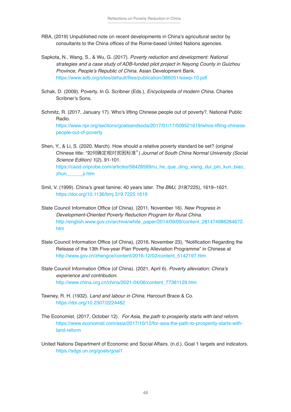- RBA, (2019) Unpublished note on recent developments in China's agricultural sector by consultants to the China offices of the Rome-based United Nations agencies.
- Sapkota, N., Wang, S., & Wu, G. (2017). Poverty reduction and development: National strategies and a case study of ADB-funded pilot project in Nayong County in Guizhou Province, People's Republic of China. Asian Development Bank. https://www.adb.org/sites/default/files/publication/386051/eawp-10.pdf
- Schak, D. (2009). Poverty. In G. Scribner (Eds.), Encyclopedia of modern China. Charles Scribner's Sons.
- Schmitz, R. (2017, January 17). Who's lifting Chinese people out of poverty?. National Public Radio. https://www.npr.org/sections/goatsandsoda/2017/01/17/509521619/whos-lifting-chinesepeople-out-of-poverty
- Shen, Y., & Li, S. (2020, March). How should a relative poverty standard be set? (original Chinese title: "如何确定相对贫困标准") Journal of South China Normal University (Social Science Edition) 1(2), 91-101. [https://caod.oriprobe.com/articles/58428569/ru\\_he\\_que\\_ding\\_xiang\\_dui\\_pin\\_kun\\_biao\\_](https://caod.oriprobe.com/articles/58428569/ru_he_que_ding_xiang_dui_pin_kun_biao_ zhun______ji.htm) zhun *ji.htm*
- Smil, V. (1999). China's great famine: 40 years later. The BMJ, 319(7225), 1619–1621. https://doi.org/10.1136/bmj.319.7225.1619
- State Council Information Office (of China). (2011, November 16). New Progress in Development-Oriented Poverty Reduction Program for Rural China. [http://english.www.gov.cn/archive/white\\_paper/2014/09/09/content\\_281474986284672.](http://english.www.gov.cn/archive/white_paper/2014/09/09/content_281474986284672.htm) htm
- State Council Information Office (of China), (2016, November 23), "Notification Regarding the Release of the 13th Five-year Plan Poverty Alleviation Programme" in Chinese at http://www.gov.cn/zhengce/content/2016-12/02/content\_5142197.htm
- State Council Information Office (of China). (2021, April 6). Poverty alleviation: China's experience and contribution. http://www.china.org.cn/china/2021-04/06/content\_77381129.htm
- Tawney, R. H. (1932). Land and labour in China. Harcourt Brace & Co. https://doi.org/10.2307/2224482
- The Economist. (2017, October 12). For Asia, the path to prosperity starts with land reform. https://www.economist.com/asia/2017/10/12/for-asia-the-path-to-prosperity-starts-withland-reform
- United Nations Department of Economic and Social Affairs. (n.d.). Goal 1 targets and indicators. https://sdgs.un.org/goals/goal1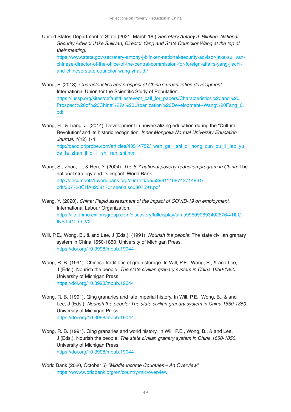United States Department of State (2021, March 18.) Secretary Antony J. Blinken, National Security Advisor Jake Sullivan, Director Yang and State Councilor Wang at the top of their meeting.

https://www.state.gov/secretary-antony-j-blinken-national-security-advisor-jake-sullivanchinese-director-of-the-office-of-the-central-commission-for-foreign-affairs-yang-jiechiand-chinese-state-councilor-wang-yi-at-th/

- Wang, F. (2013). Characteristics and prospect of China's urbanization development. International Union for the Scientific Study of Population. https://iussp.org/sites/default/files/event\_call\_for\_papers/Characteristics%20and%20 [Prospect%20of%20China%27s%20Urbanization%20Development--Wang%20Fang\\_0.](https://iussp.org/sites/default/files/event_call_for_papers/Characteristics%20and%20 Prospect%20of%20China%27s%20Urbanization%20Development--Wang%20Fang_0. pdf) pdf
- Wang, H., & Liang, J. (2014). Development in universalizing education during the "Cultural Revolution' and its historic recognition. Inner Mongolia Normal University Education Journal, 1(12) 1-4. http://caod.oriprobe.com/articles/43514752/\_wen\_ge\_\_shi\_qi\_nong\_cun\_pu\_ji\_jiao\_yu de\_fa\_zhan\_ji\_qi\_li\_shi\_ren\_shi.htm
- Wang, S., Zhou, L., & Ren, Y. (2004). The 8-7 national poverty reduction program in China: The national strategy and its impact. World Bank. [http://documents1.worldbank.org/curated/en/539811468743714961/](http://documents1.worldbank.org/curated/en/539811468743714961/ pdf/307720CHA02081701see0also0307591.pdf) pdf/307720CHA02081701see0also0307591.pdf
- Wang, Y. (2020). China: Rapid assessment of the impact of COVID-19 on employment. International Labour Organization. [https://ilo.primo.exlibrisgroup.com/discovery/fulldisplay/alma995090693402676/41ILO\\_](https://ilo.primo.exlibrisgroup.com/discovery/fulldisplay/alma995090693402676/41ILO_ INST:41ILO_V2) INST:41ILO\_V2
- Will, P.E., Wong, B., & and Lee, J (Eds.). (1991). Nourish the people: The state civilian granary system in China 1650-1850. University of Michigan Press. https://doi.org/10.3998/mpub.19044
- Wong, R. B. (1991). Chinese traditions of grain storage. In Will, P.E., Wong, B., & and Lee, J (Eds.), Nourish the people: The state civilian granary system in China 1650-1850. University of Michigan Press. https://doi.org/10.3998/mpub.19044
- Wong, R. B. (1991). Qing granaries and late imperial history. In Will, P.E., Wong, B., & and Lee, J (Eds.), Nourish the people: The state civilian granary system in China 1650-1850. University of Michigan Press. https://doi.org/10.3998/mpub.19044
- Wong, R. B. (1991). Qing granaries and world history. In Will, P.E., Wong, B., & and Lee, J (Eds.), Nourish the people: The state civilian granary system in China 1650-1850. University of Michigan Press. https://doi.org/10.3998/mpub.19044
- World Bank (2020, October 5) "Middle Income Countries An Overview" https://www.worldbank.org/en/country/mic/overview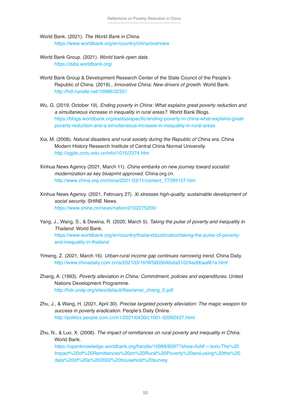- World Bank. (2021). The World Bank in China. https://www.worldbank.org/en/country/china/overview
- World Bank Group. (2021). World bank open data. https://data.worldbank.org/
- World Bank Group & Development Research Center of the State Council of the People's Republic of China. (2019)., Innovative China: New drivers of growth. World Bank. http://hdl.handle.net/10986/32351
- Wu, G. (2019, October 19). Ending poverty in China: What explains great poverty reduction and a simultaneous increase in inequality in rural areas?. World Bank Blogs. https://blogs.worldbank.org/eastasiapacific/ending-poverty-in-china-what-explains-greatpoverty-reduction-and-a-simultaneous-increase-in-inequality-in-rural-areas
- Xia, M. (2008). Natural disasters and rural society during the Republic of China era. China Modern History Research Institute of Central China Normal University. http://zgjds.ccnu.edu.cn/info/1015/2374.htm
- Xinhua News Agency (2021, March 11). China embarks on new journey toward socialist modernization as key blueprint approved. China.org.cn. [http://www.china.org.cn/china/2021-03/11/content\\_77299157.htm](http://www.china.org.cn/china/2021-03/11/content_77299157.htm)
- Xinhua News Agency. (2021, February 27). Xi stresses high-quality, sustainable development of social security. SHINE News. https://www.shine.cn/news/nation/2102275200/
- Yang, J., Wang, S., & Dewina, R. (2020, March 5). Taking the pulse of poverty and inequality in Thailand. World Bank. https://www.worldbank.org/en/country/thailand/publication/taking-the-pulse-of-povertyand-inequality-in-thailand
- Yimeng, Z. (2021, March 16). Urban-rural income gap continues narrowing trend. China Daily. http://www.chinadaily.com.cn/a/202103/16/WS605046afa31024ad0baaf81a.html
- Zhang, A. (1993). Poverty alleviation in China: Commitment, policies and expenditures. United Nations Development Programme. http://hdr.undp.org/sites/default/files/amei\_zhang\_0.pdf
- Zhu, J., & Wang, H. (2021, April 30). *Precise targeted poverty alleviation: The magic weapon for success in poverty eradication*. People's Daily Online. http://politics.people.com.cn/n1/2021/0430/c1001-32092437.html
- Zhu, N., & Luo, X. (2008). The impact of remittances on rural poverty and inequality in China. World Bank. https://openknowledge.worldbank.org/handle/10986/6597?show=full#:~:text=The%20

[Impact%20of%20Remittances%20on%20Rural%20Poverty%20and,using%20the%20](https://openknowledge.worldbank.org/handle/10986/6597?show=full#:~:text=The%20 Impact%20of%20Remittances%20on%20Rural%20Poverty%20and,using%20the%20 data%20of%20a%202002%20household%20survey.) data%20of%20a%202002%20household%20survey.